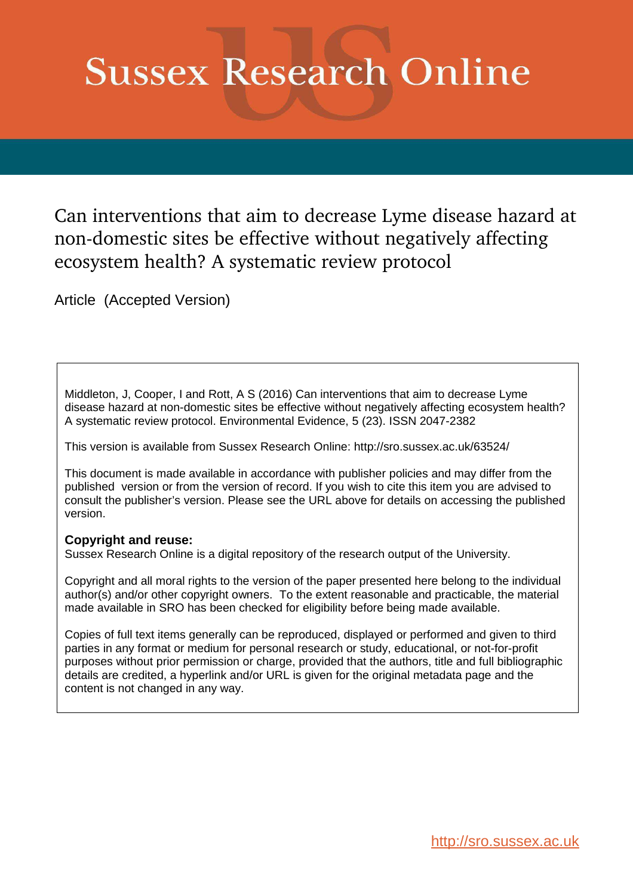# **Sussex Research Online**

Can interventions that aim to decrease Lyme disease hazard at non-domestic sites be effective without negatively affecting ecosystem health? A systematic review protocol

Article (Accepted Version)

Middleton, J, Cooper, I and Rott, A S (2016) Can interventions that aim to decrease Lyme disease hazard at non-domestic sites be effective without negatively affecting ecosystem health? A systematic review protocol. Environmental Evidence, 5 (23). ISSN 2047-2382

This version is available from Sussex Research Online: http://sro.sussex.ac.uk/63524/

This document is made available in accordance with publisher policies and may differ from the published version or from the version of record. If you wish to cite this item you are advised to consult the publisher's version. Please see the URL above for details on accessing the published version.

#### **Copyright and reuse:**

Sussex Research Online is a digital repository of the research output of the University.

Copyright and all moral rights to the version of the paper presented here belong to the individual author(s) and/or other copyright owners. To the extent reasonable and practicable, the material made available in SRO has been checked for eligibility before being made available.

Copies of full text items generally can be reproduced, displayed or performed and given to third parties in any format or medium for personal research or study, educational, or not-for-profit purposes without prior permission or charge, provided that the authors, title and full bibliographic details are credited, a hyperlink and/or URL is given for the original metadata page and the content is not changed in any way.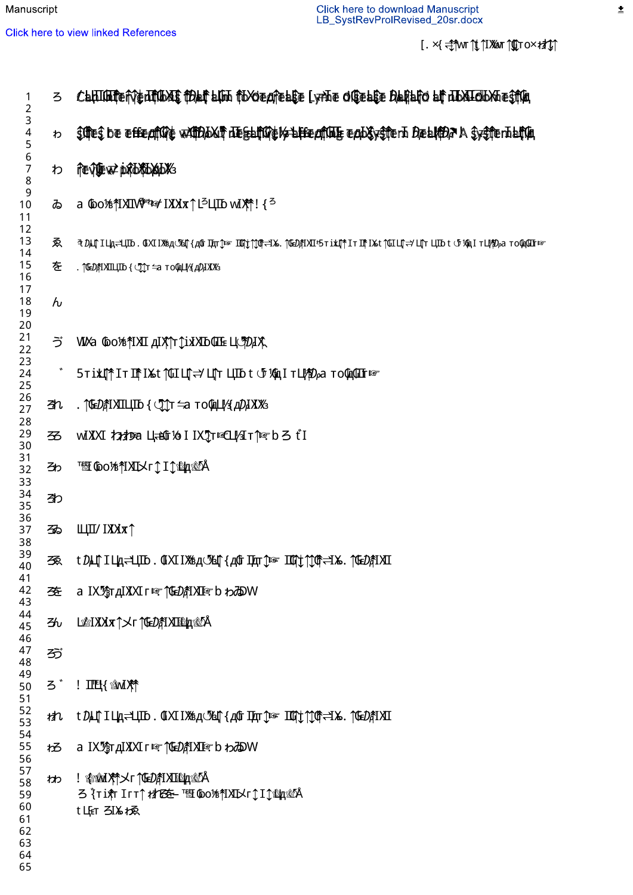L X JAW TO TIXENT TO X TOT

| 1<br>$\overline{\mathbf{c}}$                                               | ろ              | СЫЛШТЕ ГҮЕЛТФАТ ФАГ ЫЛ ФУСЕДГЕЫЕ [унбе ОФеЫЕ ДАГЫ О ЫГ ПАНБАЛЕЗТА                                                       |
|----------------------------------------------------------------------------|----------------|-------------------------------------------------------------------------------------------------------------------------|
| 3<br>$\overline{\mathcal{L}}$<br>5                                         | ゎ              | <u>ŞUTEŞ be effeqTUTE vATIDDXIT ITEGHTUTEVS HFFEQTUTE EQDSYSTEM DæHTOP A ŞYSTEMHTUL</u>                                 |
| $\boldsymbol{6}$<br>$\overline{7}$<br>8                                    | わ              | <b>ſⅇ</b> ℽ℔ℼϷℹℷ℆ℎℋ                                                                                                     |
| 9<br>10<br>11                                                              | ゐ              | a ₲oз∱™™™™™™™™™™™™™™™™™™™™™™™™™™                                                                                        |
| 12<br>13<br>14                                                             | ゑ              | ₹DALJILA=LUID. OLXIIX&AC%LJ{AOFIIArJI* IOCJJJOJ=LX&. JOEDAIXIY5TiXLJ†ITIFIXtJOIILJ=Y LUTILIID tOFXQIITLADDoa TOOAQOUTI* |
| 15<br>16<br>17<br>18<br>19<br>20<br>21<br>22<br>23<br>24<br>25<br>26<br>27 | を              | . ↑ФЕДАТХІІЦІВ{ ФФТ ≒атоФЦК{дДАХЖз                                                                                      |
|                                                                            | $\hbar$        |                                                                                                                         |
|                                                                            | ゔ              | <b>VIXa ©O%*IXI ДIX*T LIXXIDQTE ЦS*DJX*,</b>                                                                            |
|                                                                            |                | 5τi*l¶*IτIT*I`kt↑CuILlq"≓) Ll Tr Ll Ibt ரு`¼QuIrLlMpparoCquQuIru®                                                       |
|                                                                            | 引              | . ↑ СЕОАТХПЦТЬ { ФЈТ ≒а тоФЦЦ АДАХ ЖЗ                                                                                   |
| 28<br>29<br>30                                                             | 多              | WXXI わわぬ Ц=80F16 I IXIT neCLYSIT nerb 3 t II                                                                            |
| 31<br>32<br>33                                                             | 引              | ℡℠℔ⅆℾⅉℾⅉℸℕℿℰⅈℹ                                                                                                          |
| 34<br>35                                                                   | 劲              |                                                                                                                         |
| 36<br>37<br>38                                                             | ゐ              | ЦШ∕ ІХХх↑                                                                                                               |
| 39<br>40                                                                   | 颈              | t DALIT LLIA=4LITO. QIXIIX&AU%LIT {AGI IIAT TI® IIGT}TIGI#XE. TGEDATXII                                                 |
| 41<br>42<br>43                                                             | 圶              | а IXYGrдIXXIг ☞ ↑GED 和XII®r b わゐW                                                                                       |
| 44<br>45<br>46                                                             | 弘              | <b>ĿĿĪXXx↑√r↑ŒD@IXIĿ!µ\LĀ</b>                                                                                           |
| 47<br>48                                                                   | ゔ              |                                                                                                                         |
| 49<br>50<br>51                                                             | $\mathbf{S}^*$ | <b>个人应}把工!</b>                                                                                                          |
| 52<br>53                                                                   | 执              | t DALIT LLIA=4LITO. QIXIIX&AU%LIT {AGI ITAT TI® ITAT TIQIF=7X6. TGEDATXII                                               |
| 54<br>55<br>56                                                             | 柉              | а IXYStдIXXIг ☞ ↑ŒD@TXII☞ b わゐW                                                                                         |
| 57<br>58<br>59<br>60<br>61<br>62<br>63<br>64<br>65                         | わ              | t LET 3126 tゑ                                                                                                           |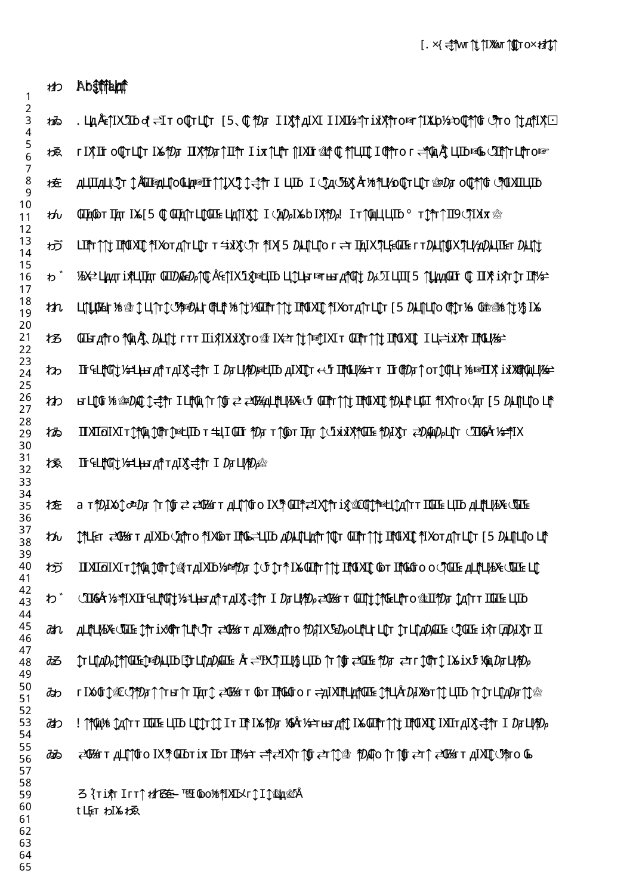## tto Abstraktor

to B ackground of  $\exists$  to othe Linds:  $\oplus$  10 and  $\oplus$  is the most commonly reported vectors  $\oplus$   $\Box$ t& rIXII o Cut Lutri IX fOr IIX fOr the I ix tuft tiMI sin C fill I Coft or  $\approx$  for  $\frac{1}{2}$  und readership or call  $\pi$  call  $\pi$  of  $\pi$  called  $\pi$  and  $\pi$  and  $\pi$  . The distribution and  $\pi$  of  $\pi$  and  $\pi$   $\pi$   $\pi$   $\pi$ **270 CILIGOT LITT IX [5 C CILIGOT LINCILE LIGOTAN I CAD, IXTO, IS TO TO THA LILIGO T NORTH A MERICA ASSESS 35 LINTH INOXING PORTA TO LINTERVERTIONS TO DECREASE EXPOSURE TO LANGE A DECAY DECAY A VENCOURAGE DECAY CHANGE**   $^{\circ}$   $18$   $\approx$  Lew is the GOD GED of AGATX S satillo lin la safe and to  $25$  and  $10$   $\sim$   $10$   $\approx$   $10$ tto LALUBA 16 & CLA TO SPEL GLA 16 TO MEAT THE LAND ANOTAT LAT IS DANLIO GAT 16 GE & THE LA **CILIE ANTO TOO AQ AO DILINITETTED TICKS AND A SECTEMBER OF A CONTROLLER INTERVENTIONS MAY POSSED TO A SECTEMBER** the Infell to the rest and the consequential consequents in the neither design and consequent of the north desirable the new political legislation of the new political legislation of the new political legislation of the no tho Faul of the second detail in the catalogue intervention and the review of the catalogue intervention of the tzs IIXIOIXI r 1994 1996 not the II OIF 1907 to 1906 TI Tur 1 (SIXX) NOIE 1904 2007 APACHT (SINGA 16=191X to II ELINOT SELLED AT ALS <del>ON</del> I DT LIND A 2 M  $\alpha$  The review  $\alpha$  in the  $\alpha$  carrier all the control in the steps. First, and cataloguing and cataloguing  $\alpha$ 

th 199 filer at the r aIXID Centro fix for INGE ALLID and like the control of the INCITY for the CHARLICO LIN t 35 IN NO IX IT THAN THAT THAT DISPARIES. THE SUB THE SUBJECT OF INTERVENTION IN THE SUBJECT OF LIT わ" ①11684 % \$PIXIIF ELIPOTI% LIbrin Af TAIX \$ \$Pr I Da LIPOp & OBS TO CITIJ TO GLIPOP JATT IN THE LITO dah alih UASE COLLE OM IXANT MUMC TITERATURE AT AIXXELATIO POQIIX ENDIYLI BATALOG USING USING USING USING USIN 35 frings, month-strings, hand-searching control the web sites of public the web sites of public  $\delta$ b odies. Further references will b e identified b y contacting stakeholders and researchers. das ! MAD \$ CANTT IDENE LUID LOCOT OF INTERVENTION ASSESSMENT ON THE LIGHT OF LIGHT OF LUYED, THE LIGHT OF LUYED, 754 will be carried out in the carrier of the consulted two reviews. A third reviewer will be consulted in this consultation of the consultation of the consultation of the consultation of the consultation of the consultati

3 {τi倉 Irτ↑ <del>1</del>1666–™ ™ ©o0% \*IXIVrî Iî LineXA t Ller tol为极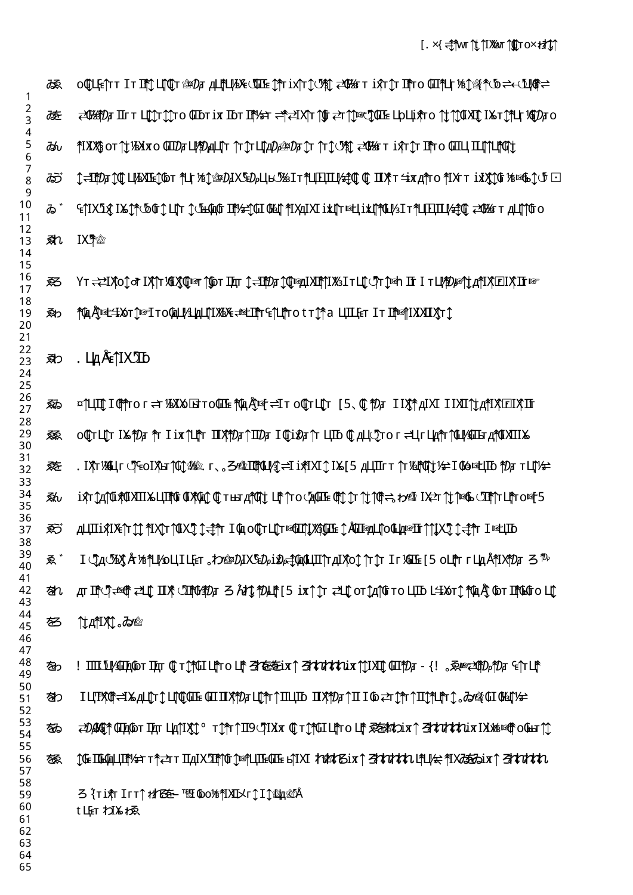758 OQLE THE LIT LIT LIT LIT GIVET SUPER CATALOGUING STEP RESULTS IN TABLE TO CLUTTELY TABLE OF PRESENTED THE 76 will the right of the CI is the TIM to the stable of the CI independent of the stable versions of the versions of the versions of the versions of the versions of the versions of the versions of the versions of the versi do 18XX or the Max of COD 5 LAYD ALL The The LIGOD COD To The COVE RESULTS WILL B TO GOOLL TO LAYOUT THE PRESE **35 CHIOT OF LIBXIE OOT ALT 16 C \$\$DJX SED, LLES THA FULL THAT A FURT TO A FULL TO A X TO B E POSSIBLE OF EXPOS**  $\phi$ "  $\epsilon$ n $\times$ ī $\ell$  IX $\uparrow$ n $\circ$ of $\uparrow$  Lin $\uparrow$   $\uparrow$  Chung Timilar to china-analysis will be carried  $\epsilon$  and  $\uparrow$   $\sigma$ 动 IXP

55 Y T = 21 Xo î or 1 X în 14 X Qian î (br II pr î = 1 îD a î Qian 1 A î î N î L î L î î dat li H ealth, în în 520 the Alice States of The University of The Magnetic Accredit Acarology, The Magnetic Accredit Accredit Accr

动 . Lin Æ TIX TID

55 ¤ TULUI I CPT TO F THANS INTO CLE POLOTED TO CLT LITTLE TO COT LUTTLE TO COMMON LINE THAT MOST COMMON VECTOR 55 of the temperature is the temperature of the temperature and infection of the temperature and infection of  $\mathbb{R}$ 56 B ORT TA BURG OF LOT A BURGLING STATE OF LAND IN THE SALL CAN BE RELATED TO A BLOCK OF LOT CAN B ENDING A R 580 in LAMENTULING UNTAL CHE ANTIL LA TO CALLE CALL THAT IN THE CLATILLATION 5 565 allIIjXIXfr 11 AN) rOLXJ 1 <del>d'A</del>r I Quo Qr Line GIATIXQUE 1 AUE pliq CHA est ANIXJ 1 <del>d'A</del>r I est Elo ゑ゛ҴѺӆѴѬ҈Ѧ҆҃҇҇҇҅ѦѨ҈ҴѴ҈ѹҴҴ҈ҥ<sub>ѻ</sub>わӔ҈ӢӅҲӮ҈҈҈ӅӆѾ҈ӆҴ҉ӍҴҴ҄ҭӆӀҲ҃ѻ҈Ӏ҇ҭҬ҅ӷӅѾ҈ѥ[5ѹЦ҇ҭ҅ӷҴӆӒ҄҉Ӎ҃Ӣ҈ӣӠ<sup>ѿ</sup> 680 century, it was not until the 1970s that in the 1970s that LD per set was described and India India in the 1 **轻 化作用机动组** 

 $\delta$ 2 |  $\text{III}$  1400  $\text{Irr}$  (if  $\text{Irr}$  )  $\text{Irr}$   $\text{Irr}$   $\text{Irr}$   $\text{Irr}$   $\text{Irr}$   $\text{Irr}$   $\text{Irr}$   $\text{Irr}$   $\text{Irr}$   $\text{Irr}$   $\text{Irr}$   $\text{Irr}$   $\text{Irr}$   $\text{Irr}$   $\text{Irr}$   $\text{Irr}$   $\text{Irr}$   $\text{Irr}$   $\text{Irr}$   $\text{I$  $\delta$ 3) IUTXGHXALOTOUQUE CIIIXPDFUOTTUID IIXPDFTIIO and OTOTALOTOS  $\delta$ el CHOSE *ZOM*ON TO LANA TELEVIST TO THE FURTHER AT 190 PER 100 PEOPLE IS ESSIMATED AT 56.03 PEOPLE 65 the Install That That I Hal X Thing for LITE GILITY to that Bix 1 3 to the 10 Use 11 X Jasabix 1 3 to the 1

3 Tift Irt1 the Tu Gok TALf11@asA t Ller ねんね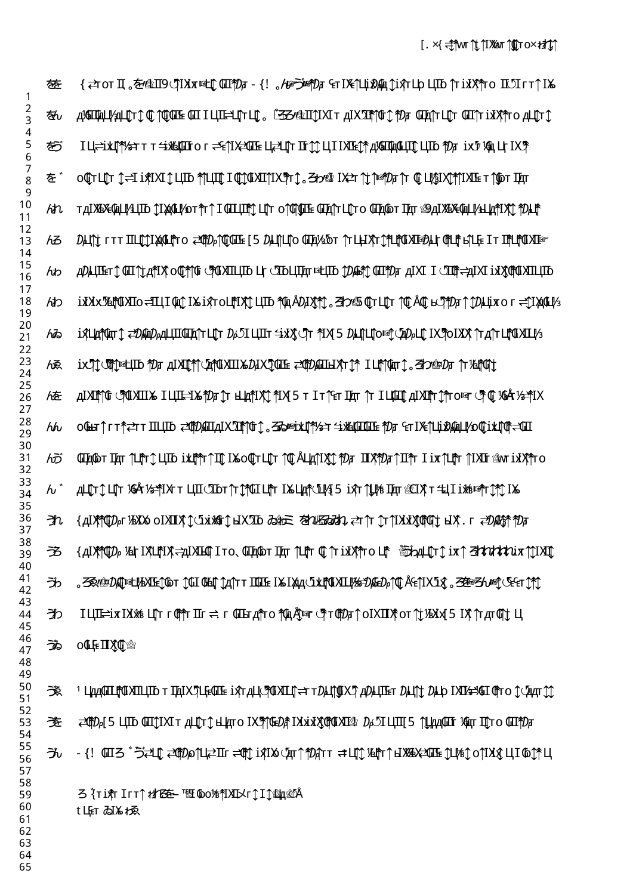**をを { zror II 。を@II9 (71Xx @tlf (II1?)z -{! 。/@う】的 {r IX={\Li){}Qqt {ix} Li} {r ixXfr o II ∑I r r {l } \**  $\delta t$  and  $\delta t$  contribute the interpretation of  $\delta t$ . In the interesting  $\delta t$  are interesting the interest in  $\delta t$ 65 ILLI be explained by the explanation of the public and the public and public and the public above and the pu disease symptoms and transmission routes [12]. H owever, there is also strong evidence  $\sigma$   $\alpha$  ratio  $\sigma$   $\alpha$  and  $\sigma$   $\gamma$   $\alpha$   $\beta$   $\gamma$   $\gamma$   $\alpha$  in contribution in contribution in  $\gamma$   $\alpha$   $\beta$   $\beta$   $\beta$ AZ DUN FTT ILLNIXOUTO ZOOD MOTOLE IS DUNLO OLDUS OT THE LANT NAUNOULAR ONE IT ITUNIXUST changes in vector distribution and abundance, and shifts in the community composition and At> iXXX%BQMXIO=ILLIQQ`IX>iXrOLQ`NX\^LUID\$QQAXQ`SZYO\$\$Q`rLQ`r\$QQ`BQ`BQ`DIJAT^ODLAixOF=\^OXQQLY3 *N* book incluit can produce the DASI LIIT of LANS OF THE DAM LIGO FOR LIGORY TO LAT LIGONIUS A& ix TI UTO THE ADT AIN TELLY MANUALIX DAX JULE & TO AUTHAN THE LITHAN J. SHOWS DT THE RELATIVE A& AIXING UNIXING I LUIEEI YS OF THENO ENTRY TO LITTE TITTET ITT TO I LUIOIO AIXING OF CONSASSENTIX ASSAULT TO differ b etween and within countries [14], partly explaining the geographical disparity in AS OLANGOT LATT TULITY LUILD IXLIPPIT TIL IXSONIT LAIT TOC ALLATIXI POR IN XIPORTI TEMPERATE SUN DIXINI SENTED  $\kappa^*$  quinjunt is beta part lift of the correction of a set and the contribution of  $\kappa$  is  $\kappa$ 31 { AIX\*\\@Dor 'ASIX`SO DXIIX`} CLXX \$Q b LOXID JOSHER FOR BOUGGION & THE THIN SUN ARRY TO # 2004 \$ \$D B 33 {AIX\*YODDDDDDD} YAI IX\*LATIXT=AIXIEAOT ITO, QUAGOT IAT 1°LAT QQ TriXX\*TO LA\* @StauLOTO^IXT 32\* totorix TONO [15]. This, alongside similar screening of occupationally high risk groups [16, 17], suggests 33 ILIII=ixIX)% LITTEN BET EITHER TO TULE ARE CONTROL TO NOTE AT A LITTEN BY THAT OTHER THE UTHER ARE CONTROL O 35 olle IXIt<sup>o</sup>

35 <sup>1</sup> Upp (TIMING UIT) TIDIX TU GOTE 1 AT ALL TAIXILLE <del>at TOLINGIX TAOLITET OLINI OLI</del>D IXILS=AST (TO NUTH) 36 with LD and in some cases in the cases of the cases of the cases of the cases of the cases of the cases of the cases of the cases of the cases of the cases of the cases of the cases of the cases of the cases of the case U SA in 1998 was withdrawn b y its producer three years later following sales drops amidst a

3 {τi倉 Irτ↑ <del>1</del>1666–™ ™ ©o0% \*IXIVrî Iî LineXA t Ller 列为核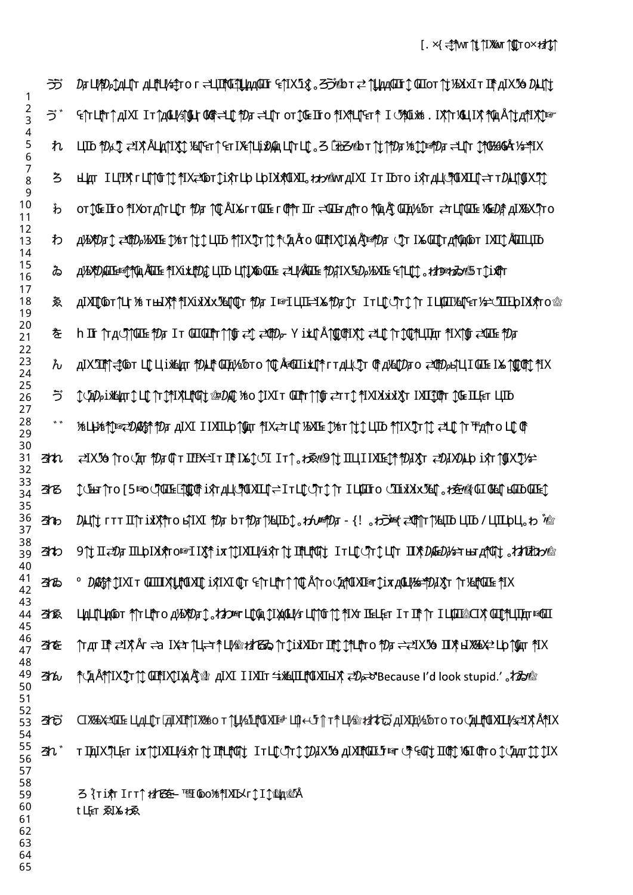うゔ DrUPDpjdLifr dLiftLikefror =LLIFNGTLippQOF &TIX5&。ろゔ@rz ?LLippQOFjUTOrTjUXXJrDFdIXJ&DLift ゔ゛₠₼**Ŀ**ħ↑дӏӾӀӀт↑Д₲⅃℅ⅉ₲ⅎ₲ℰ₴⅃ⅉ*₱*₯₴⅃ℎℴℸⅉ₲℻℮ℿ℮ℰ℻⅂⅃ℭℱ⅏℀ℳ℻ℎ℆⅃ℹℋ℩℆ℿ 70 LUID PDAJ ZIX ÅLLANXY VALIET T ET IXENLIDAA LUT LUI "Z ČIHZABOT NI NPD7 VA NIAPDJT ZLUT JYMYSAGÅ VSYNX **LIGT I LITY r LING N AX-2GT N AT LD LD IX AN ALL** ADOWN ALXI IT IDTO I AT ALL MAXIOURT TO LING X AN ₺ or 10eIIro †1Xorд↑rLL1r †10ar 100 ÅIXsrrQIErO11†↑ IIIr≓QIIEaqAro †0aqQ\$QIQI4s1orr≥rL11,0UIEs4Se0q}qUX&XJro \$3 pubstOp 1 cloth and long strought into the socks of the use of the use of the use of the use of the use of the use of the use of the use of the use of the use of the use of the use of the use of the use of the use of th 3 A) A) A) A) AI ENGRAILE TO XIX AND LONG DI LONG AND AND AND AND AVOID AS TO PATHS AND TO LONG TO LONG A ゑ дӏӾҴ҈Ҩт҄ҭҴӷ҆҃҇҇҅҅Ѣ тѥӀҲ҅҈һ҇҆҄҆҆҆҆ҭ҃ҠӂӾӾ҂ӁӍ҈Ѽ҄ӷҭѾѿӉҴӔ҈ҤѦ҈ѬӢӣҬ҈ҥҴҴѼҀҭҀҭҴҴҴҴ҈ҜӍ҈ҽѴҴҴ҈ѻӀӾӿ҄҅ҭѻ*҈*  $\epsilon$  b II fra choose for It culculating the compact visitor  $\epsilon$  and  $\epsilon$  and  $\epsilon$  and  $\epsilon$  the form  $\epsilon$  the form  $\lambda$  al $\times$ ITT  $\neq$  Obt Line and that includes to the Assuming that in the  $\mu$  and  $\mu$  and  $\alpha$  visits to  $\mu$  and  $\eta$   $\in$   $\Lambda$ 5 the places as a restorative on the some interview in the some interviewer of the signal state of  $\tilde{\mathcal{P}}$ %Like to which the common and common and the common and the common state to the common state of the common state  $\mathfrak{g}_\mathfrak{m}$  is the common state of the common state  $\mathfrak{g}_\mathfrak{m}$  and the common state  $\mathfrak{g}_\mathfrak{m$ 3th alt XVs fro Our \$Da Cit IIIK=It INS INSIGN It f. JARISO TILLINIE OF \$DANDLI AT TOURNE suffered LD, during-visit precautionary measures remained unpopular [26]. Similar findings 3 to DLIT FTT INT IX ATO GIXI TO DT TO THE DO SHOWED TO HE SHOWER THE UID / LITLOUS TO THE 3to 9 t Πτύρτ ΠΠρΙΧΑΤΟ OG ΤΙΧΑ ix 1 ΠΑΠΡΙΑΚΉ τη ΠΑΠΡΟ ΤΗ ΠΤΑ Ο ΠΑΠΡΙΑΦΟΙΑ τη ΠΑΠΡΙΑ στη ΠΑΠΡΙΑ 37 & <sup>o</sup> DAMA JIXI TO WU MUMANO IXIXI QT STILAT TO AT O CAMU XU TI TA ALI<del>XA Y</del>DIXT TI KAMU UGA X 335 LULIN LAGOT TYT LATO QUESTON C, SISOPET LANGLIYAGLYS LAYOF TY TA SOCIAL TO ENGALLE REMAIN REMAIN. FOR INST 316 recent work b a lating they may be alleged to the state of the state of the stated they follow and follow a 3% 个AATIXTT TUTHALLY A LINIT SULTIMATE TO SOCIUS I'd look stupid.'。the 36 CIXXXXIIE LLALLIT FALXININXX80 T TURLININIE® LIN ← T T T LU22 to TALALAS OT TO CAL NINIU/SZIX ATIX 31 \* TIDIXJUET IX MIXIU/ART HI ITULOTI PO AXINILI PREVENTATIVE O COLOTILIX

ιδ {τiή Irτ↑ <del>;∤r&</del>—™ ™ ©o%?NXIXF^I ]^\$\@A t Ller 刻为场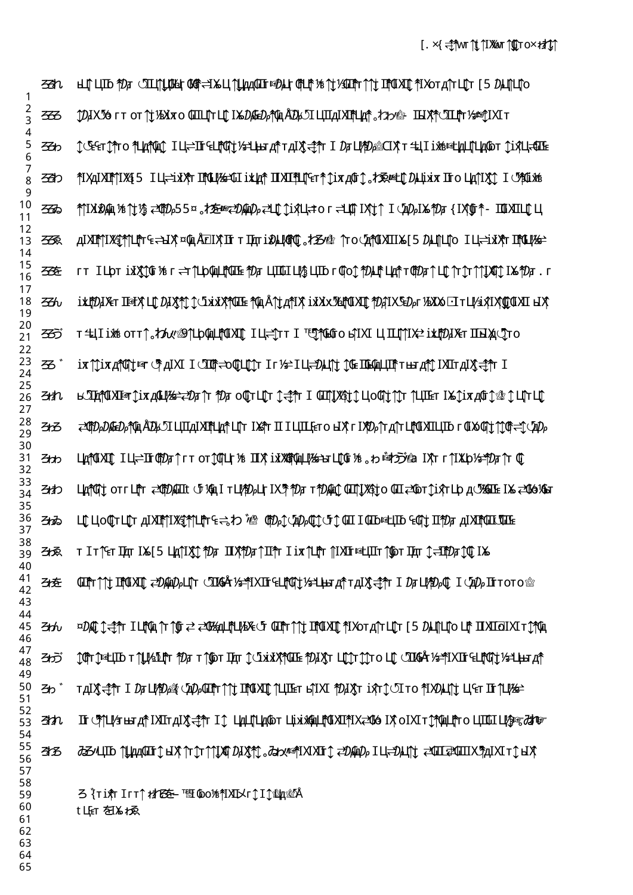3380 HAT LATD PD7 CILLINUAGEN OF STALL NUAVAILE GRAFY OF A VALITY OF A VACTORY PIXOT ANT LATT [5 DANILATO 333 100 in areas of the developed in a strong in a strong in a strong in a strong in the some of the some of t 33% 10 SEET TYTO PURPORT I LI=ITELIPOT ISLUGIOR TALTA AFT I DA LIPOLOGIOR TELI I MERELINIQUOT TIRILE SUE 333 113 TO MAIN POST CONTROL MAY POST IMPORTED A MARKED SPECIES TO A MARKED SPECIES TO A STRIKE SPECIES TO A S 3366 MIXIOA Ho TJ & ZOOD55¤ , t&@ZOAODpZLQ^CIXLFO r ZLOTIXLT^I (DODJIXYOJI {IXOG^A-I IIIXILLO LI 335 AIXINIXINLING-ENX ¤QARIIXIITTIATIS ABALIGA CONTROL DANILITO ILL=IXXITINUXS= 2336 FT ILIDT iXXIOG % F= TILIDQQLIFQUTE PD7 LUTCUTLUS LUTO FQTOJ PDAFFLIQAT ALLITTITING TIXS PD7 . F pathogen, or as hosts supporting tick vector populations through b lood-meal provision (for 335 T till i Me ott **i**, the septible from the from the setting of the setting from a setting from a setting fro 33 \* ix "Lix ANT LIGHT I COUNT COMMUNITY DISTURBED THE LIGHT ON THE LIGHT OF THE SIGNIFICANT EFFECTS 3t bum bum to the distribution of the distribution of the distribution of the second second second states a di 3125 attopD&ED, AQDADI LUTLAIXINLLAA LINT IXAATILLUTLEET O HIXT FIXED, NT ANTILATI LINTXILLITD FOLKSOON: NOOP Btb LLANUXII ILL≓IIOHDa↑rror101CLI76 IIX iXXGMLL76stLING76。to ¤rjže@aIXrr11XLp7s=197a↑rOI 330 LIQAQT OT LIFT ZAPO QUIT US VGII TLI PO DLI IXS PO T TPO QUI DI MOTTO LI LIGALIONE IN ZAGO VGIT 3th a distrigation of the strategy in mind is such that the continuing the continuing the continuing  $\mathbb{Z}$ emergence of LD across the northern temperate zone, an evidence synthesis of **CLINT THONI ZOAOD LINT CILGA 13-MIXIIFELING** TO HAT AT ALT AT LAT LO DO HAT TO TO LO DETTO TO LO  $\mu$   $\sim$   $20$   $\pi$   $\sim$   $20$   $\mu$   $\sim$   $20$   $\mu$   $\sim$   $20$   $\mu$   $\sim$   $20$   $\mu$   $\sim$   $20$   $\mu$   $\sim$   $20$   $\mu$   $\sim$   $20$   $\mu$   $\sim$   $20$   $\mu$   $\sim$   $20$   $\mu$   $\sim$   $20$   $\mu$   $\sim$   $20$   $\mu$   $\sim$   $20$   $\mu$   $\sim$   $20$   $\mu$   $\pm$  10  $\pm$  10  $\pm$  10  $\pm$  10  $\pm$  10  $\pm$  10  $\pm$  10  $\pm$  10  $\pm$  10  $\pm$  10  $\pm$  10  $\pm$  10  $\pm$  10  $\pm$  10  $\pm$  10  $\pm$  10  $\pm$  10  $\pm$  10  $\pm$  10  $\pm$  10  $\pm$  10  $\pm$  10  $\pm$  10  $\pm$  10  $\pm$  10  $\pm$  10  $\pm$  10 30 \* TAIS FIT I DG UNDAY UDDOUT TIL INTUIL TO HAVE TO HAVE IT TO THOSE PRESULTED TO THOSE PRESULTED TO HAVE A G 30 and the CML/3 had a caracide application of the UNIX and the UNIX of the UNIX of DUTCH UNIX and domesticated 33 634UID 1UppQOT LIX TO TIMO DIXTO GOOV®IXXITO FORDO I UFDLIO FOUTROIIIX TAIX TO UX

3 {τi倉 Irτ↑ **お己**는™ \$Obo活剂XII\r^1】\$I\$M t Ller 包) 板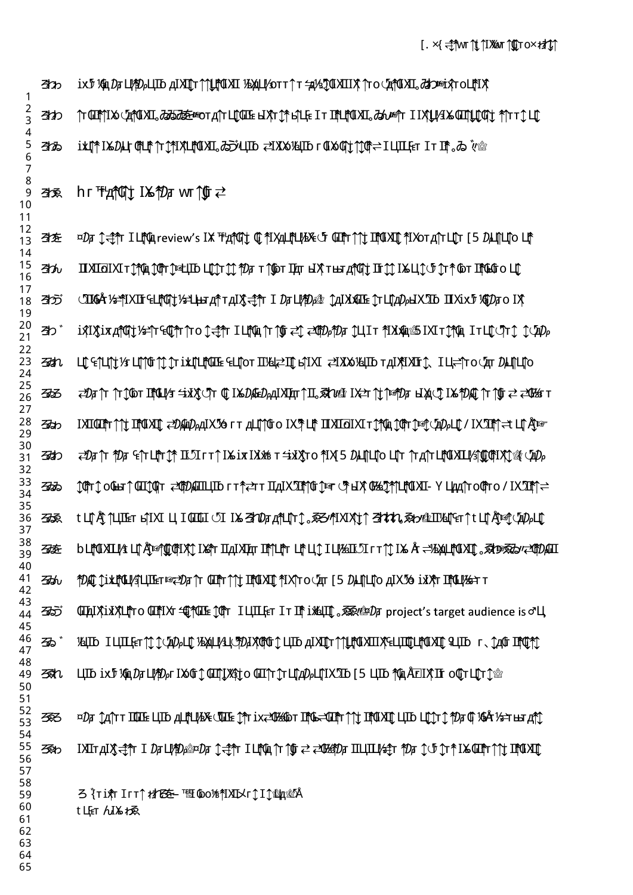332 ix 5 % and local depth and conservative conservation in the conservation of the conservation in the state o 330 TrODATIXO DAMIXI, JAJA JE MOT LITULIE HIXT TA HOLE IT IALAMIXI, JAJA PRTI INLIKI SOLOTILITIJE ATTT TUT 234 part of the Mark of the Habitat and workers in the storage state in the storation in the storation in the s

 $\overline{35}$  hr Flanch IX  $\overline{10}$  wr  $\overline{10}$   $\overline{4}$ 

35 The solar 1 the series of the set of the systematic order of the set of the catalogue in the set of the set of the set of the set of the set of the set of the set of the set of the set of the set of the set of the set o  $\sim$   $\,$   $\rm II$  $\rm M$  $\rm d$  $\rm N$   $\rm T$   $\rm N$  $\rm d$   $\rm d$   $\rm t$   $\rm d$   $\rm T$   $\rm d$   $\rm d$   $\rm T$   $\rm T$   $\rm M$   $\rm T$   $\rm M$   $\rm d$   $\rm T$   $\rm d$   $\rm T$   $\rm d$   $\rm T$   $\rm d$   $\rm T$   $\rm d$   $\rm T$   $\rm d$   $\rm T$   $\rm d$   $\rm T$   $\rm d$   $\rm T$   $\rm d$  385 UNGA 139 TXIIF ELINGI 134 LH3 A TAIX 39 TA LINDA? JAIX XIIE JT LIJADALX JID II XIX D'AQDA O IX 390 prospective in the systematic register of the settematic reviews to the same topic. Domestic measures in the same to such a set of the same to such a set of the same of the same to same to same to same to such a set of 3380 LIC GOLOLY'S LIMOG OL OT IXLOLING GELIOT ITYSLERIE GOLD AT XXXXYSLITO TALXYLINO I LLESTTO USIT DANOLOO 333 ZDa în în 100 million stax în Ciko Colopial Alpania IX în întek în historia în focus of this review will b 3325 IXIOOP MT INTUAL 20AD AIX YO FT ALMO OO IX PLA INTO IX TAAL OOP OUT AT NON-DOMESTIC SITES, SUCH AREA 3385 where the formulation of the greatest number of the greatest number of the creation of the such a such as  $\sim 144$  sign  $\sim 100$  and  $\sim 100$  and  $\sim 100$  erg in  $\sim 100$  for  $\sim 100$  for  $\sim 100$  for  $\sim 100$  for  $\sim 100$  for  $\sim 100$  for  $\sim 100$  for  $\sim 100$  for  $\sim 100$  for  $\sim 100$  for  $\sim 100$  for  $\sim 100$  for  $\sim 100$  35 tUNA TUILET GIXI LI IQUII VI IX 310 TAUN 1. 530 MXX 11 31 th SO ALIKINET 1 tUNA GO DUN 36 bLMONILA LIAM MARKA IXA TLAINIA INTLA LA LILIKULSI rTT IX Å NAALMONIL SUNSSEVRANDAII 336 100 TIXING LATTE TO THE THE THE THE RANGE PLANE COULD BE A LINE OF LINE PLANE TO THE LAST T 355 CILIXIXLATO CLAIX 40 MILE 1 OF ILLILLET IT IT IXELII , A subject's target audience is o'LL  $\degree$   $\degree$  1400 I LUTLET  $\uparrow$   $\uparrow$   $\downarrow$   $\uparrow$   $\uparrow$   $\downarrow$   $\uparrow$   $\uparrow$   $\downarrow$   $\uparrow$   $\uparrow$   $\downarrow$   $\downarrow$   $\downarrow$   $\downarrow$   $\downarrow$   $\downarrow$   $\downarrow$   $\downarrow$   $\downarrow$   $\downarrow$   $\downarrow$   $\downarrow$   $\downarrow$   $\downarrow$   $\downarrow$   $\downarrow$   $\downarrow$   $\downarrow$   $\downarrow$   $\downarrow$   $\downarrow$  350 LIID iX 5 % Quate LM\$Der IX of 1 QUAD IN Stro QUAT LAND LAND LAND TO A CONTROLLATION OF LAND TIGHT

333 ¤Da jant IOOGG all blood and the step of the store of the start interval und unit interventions and and 3380 INITALY 3 Ar I Da UPOLARD C 3 AR I LINA THE REVIEW AT THE ULTLIKET TO A THE LINE NOT THE SUB

ιδ {τiή Irτ↑ <del>;∤r&</del>—™ ™ ©o%?NXIXF^I ]^\$\@A t LIET *h*Jie t魚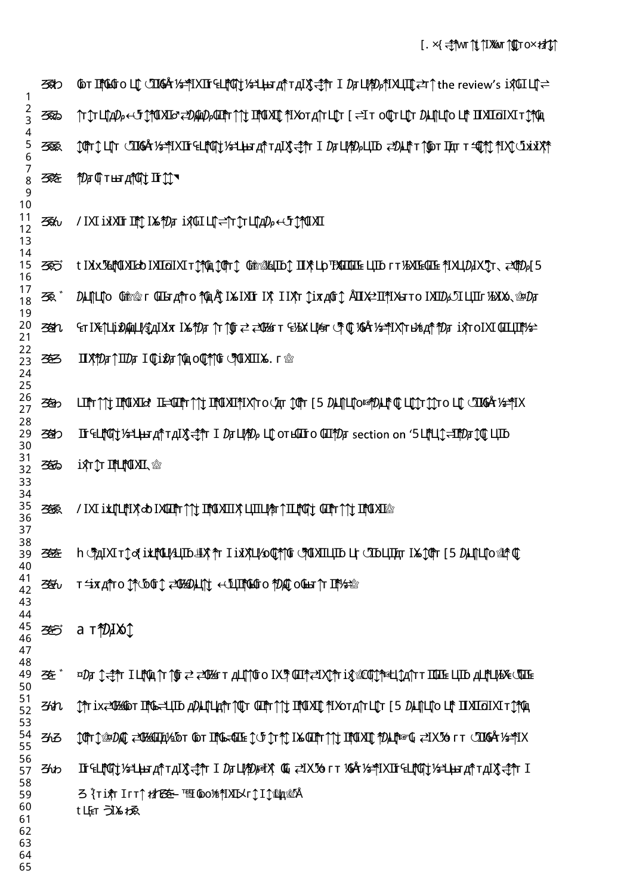3580 for LING to LLC CLUGA 16: ALXLIFELING I 15: LLAT TO ALTALIA TO ANGLES AT THE REVIEW'S LANGLI LIT 355 frituin: which intervention to decrease the matter of the distribution of the distribution of the state of the state of the state of the state of the state of the state of the state of the state of the state of the sta 355 für 1 Luit CILGA 1/3 PIXII ELLINOT 1/3 LLA TAIX 3 TO TAILID AND ALLIT TO TAIT THAT PIXI CIXIX PI 366 für CTHER ANGHLITHT

358% / IXI iXXIII INCI IXSPDAT IXIGI LUC-PIT LUCADO 4 STOPOLATI

355 tIXX %ENNIJOO IXIIOIXIT MAA JOOT OM %ENIJOOT IIXA LA THATITIE LIID FT %EXTE CHE PIXLIJAX JT , 2000 IS 358 handling (interfaction of the ATIX building that in the feed of or the species of the feed one of the feed o  $\epsilon$  filx="(Luid)QuLl(\$),qll $\chi$ x IX=" $\eta$ ") of  $\epsilon$  allist to  $\epsilon$  allist to  $\eta$ ") with  $\epsilon$  to  $\chi$  all  $\eta$  is all  $\eta$  is lightly to  $\eta$ **IXYDT TIDT I CIDT TO OCYTE CALXIIX.** F &

3380 LIFT THE INTERVENTION: INTERVENTION TO A THAT IS DUILLION TO LATE LATET TO LATE IS ASSESSED AS UNLIKELY T 3380 IF ELINGHI VELLED ANT AUX OF IN THE DATA POSITION OF THE OTHER OF DATA SHOW THE DATA SUNTHESIS AND THE DA 356 international orbit

155 C OMPART TO THE UTILE TO A TEST OF A REAL INTERVENTION OF A REAL INTERVEntion of  $\mathcal{B}$ 

356 h ChulXI T a ix Mulkilloux in I ix XU work of CMU XILI LIG UDLILLITY IX 10th IS DUILLIO 18th O  $\mathcal{H}_{\text{tot}}$  is  $\mathcal{H}_{\text{tot}}$  and  $\mathcal{H}_{\text{tot}}$  and  $\mathcal{H}_{\text{tot}}$  and  $\mathcal{H}_{\text{tot}}$  and  $\mathcal{H}_{\text{tot}}$ 

365 a T<sup>h</sup>DLING<sup>1</sup>

ιδ {τiή Irτ↑ <del>;∤r&</del>—™ ™ ©o%?NXIXF^I ]^\$\@A t LIET うおろ The systematic review will b e carried out in two steps. First, a screening and cataloguing step with  $170$  step  $100$  step  $100$  and  $100$  for  $100$   $\pi$   $100$   $\pi$   $100$   $\pi$   $100$   $\pi$   $100$   $\pi$   $100$   $\pi$   $100$   $\pi$   $100$   $\pi$   $100$   $\pi$   $100$   $\pi$   $100$   $\pi$   $100$   $\pi$   $100$   $\pi$   $100$   $\pi$   $100$   $\pi$ 313 OF TOOT SUBSOURGEDY ON THE SUB TO THE INTERVENTION SUBSTANCE SUBSTANCE TO THE UNLIKELY TO THE UNIVERSITY 3db IIF SLINGH, 132 LHEALTH, TALX <del>(1)</del> In Da LINO par X GG 21X J6 FT 1664 1644 KIIF SLINGH, 1645 AFFECT ECOSYSTEM I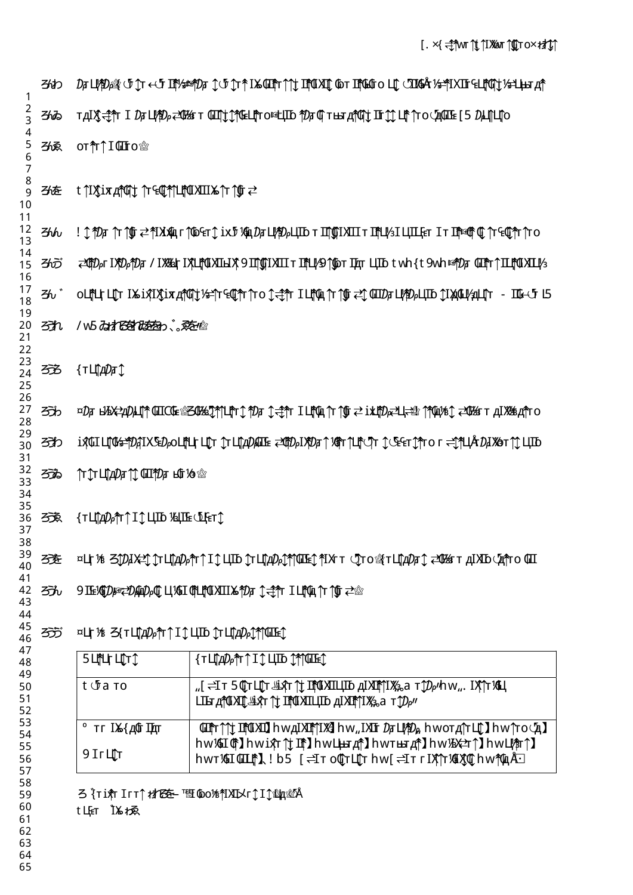d $\sigma$  )  $D$ a LIP $\beta$ lly  $\epsilon$  of  $\Gamma$  interpretional  $\gamma$  interventions in the subsequential  $\alpha$  of  $D$  . The subsequential  $\alpha$ 2475 TAIX <del>(</del>THE LATTA DRIVERTY TO THE INVESTIGATED, THE TANGLETTHEIR THEIR THE CONSTITUTION THAT IS DUINLIFOR 36 or fr 10 to @

P rospective registration of review

 !  $107$   $\pi$   $\pi$   $\pi$   $\pi$   $\alpha$   $\pi$   $\alpha$   $\pi$   $\alpha$   $\pi$   $\alpha$   $\beta$   $\alpha$   $\beta$   $\pi$   $\alpha$   $\beta$   $\pi$   $\alpha$   $\alpha$   $\alpha$   $\beta$   $\pi$   $\alpha$   $\beta$   $\alpha$   $\alpha$   $\beta$   $\alpha$   $\beta$   $\alpha$   $\beta$   $\alpha$   $\beta$   $\alpha$   $\beta$   $\alpha$   $\beta$   $\alpha$   $\beta$   $\alpha$   $\$ 345 am the C ollar with Both C ollaps of C old C oration for Environmental Evidence and P ROSP ERO P ROSP ENGI olity lift is is is a stright between the origin to the care (up and solution in solution in  $\sim 10$  nm. 33t / v5 dat Bertaketan、兹·

353 {TLIM<sub>A</sub>D<sub>4</sub>1

> 353 Do Fig. HAX POLIT CUICGE SEGREGY TUTH OF GETT I LING TO THE REVIEW PATHWEST REVIEW TO A REAL POST OF COLLECT 335 iRQILING\$\$DAIXS:DoOLINLILINT OTLINDQAILE ZANDoIXDoTYGITNLING OTCHETONTO I ZYNLLÄDAXOTYO LIID

> 336 BL 1 % 3001 X 20 Tr LIMO AT TO LIMO OF LIMO OF THE CONDUCTED OF THE USE TO BE USED. SEARCHES WITH A CONDUCT

t Մrато | "[ = Iт 5 Фг ЦГт ﷺ This District Disk of Doch w  $L$ Infermant and  $\uparrow$   $\uparrow$   $\uparrow$   $\uparrow$   $\uparrow$   $\uparrow$   $\uparrow$   $\uparrow$   $\uparrow$   $\downarrow$   $\downarrow$   $\uparrow$   $\uparrow$   $\downarrow$   $\downarrow$   $\downarrow$   $\uparrow$   $\uparrow$   $\downarrow$   $\downarrow$   $\downarrow$   $\uparrow$   $\uparrow$   $\downarrow$   $\downarrow$   $\downarrow$   $\downarrow$   $\downarrow$   $\downarrow$   $\downarrow$   $\downarrow$   $\downarrow$   $\downarrow$   $\downarrow$ 

> (LIFT THE LINUX OR OR AN CONTROL OR DECREASE IN THE DECREASE OR DECREASE OR DECREASE TO DECREASE THE LINUX DEC hw%IG`]hwixt^t}If`]hwL|<del>u</del>r\_qf`]hwt+rqf`]hw%Xzr^]hwLl%r^] hwt%) GLLARS (= Elto QutLLArmow Eltri MATO Handware B orreligion b orreliance or  $\mathbb{R}$  .

35% fritulialenti (Luitile land 180 %

t LET 】为核

Ir  $\mathop{\mathsf{LTr}}$ 

 $^{\circ}$  тг IX {д $\mathbb{G}$  II $\pi$ 

358 {TUMLDoft 11 TUMD KALINE UNET?

ιδ {τiή Irτ↑ <del>;∤r&∟</del>™ ™ ©o%†NJUrî I îtan‰A

35% 9 IEX\$DP&2DADD of LIVSI (PLPOLATIIX PDF 1 - 3 PM TLPOLATION CREW

5 LIPLIF LITT TO A STLIT AND A TITULO TATALLET

355 ¤Lr % 3(TLIM) TI LIND IT LIMO INTERED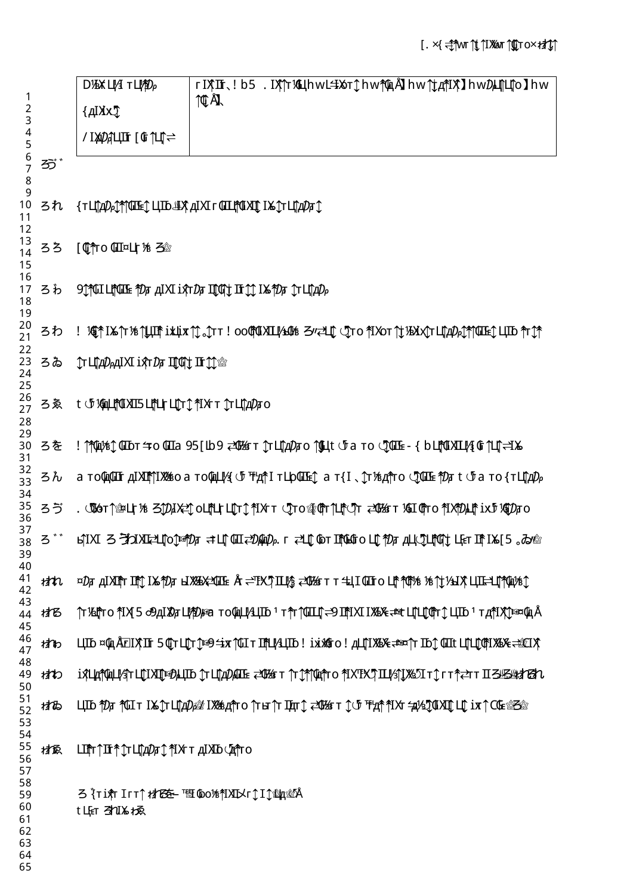|        | <b>DIAX Ц/1 тЦ/Ф</b> р                                                                                              | гӏҲ҄ӀӀ҄҄ҡҪ!b5 .ӀҲ҄ๅ҅҅ҭѴ҈ҍ҈ӀһѡL <mark>ӟ҈ѽѢҭ҈҄Ҧѡๅ҄Ҩ҉҇<sub>Ӏ</sub>Ӓ҈ӀѴӍҬ҅ӆҁ҉ӀҲ҇҈Ӏ҆Ӏ҆Һѡ<i>Ӏ</i>Ӆ҈ӀҴ҉ѻ】҄һѡ</mark> |  |  |  |  |
|--------|---------------------------------------------------------------------------------------------------------------------|--------------------------------------------------------------------------------------------------------------|--|--|--|--|
|        | $\chi$ XX $\mu$                                                                                                     | 1CH <sub>N</sub>                                                                                             |  |  |  |  |
|        | / ГХФА̂ЦП [ С ๅ̂Ц —̀                                                                                                |                                                                                                              |  |  |  |  |
| ゔ゙     |                                                                                                                     |                                                                                                              |  |  |  |  |
| ろれ     | {₸Ц↑₽₯₵₳₧ <b>₵₵</b> ₣₵ <b>Ц</b> 顶₲₰₳₮₯₮₲₮₲₣₲₵₧₮₲                                                                    |                                                                                                              |  |  |  |  |
| ろろ     |                                                                                                                     |                                                                                                              |  |  |  |  |
| ろわ     |                                                                                                                     | 911 CHO DA AIXI is that The TAN IS 10 THAD.                                                                  |  |  |  |  |
| ろわ     | ! XQ\*I`X\$^{`QLUT`\$`L\LL`X^{`Q`^Q`T`! OOQTQLXLLY\$Q\$\$`&V'cZLQ`Q`T`O^?\XOT^{`L`Y&XX}T`LL\QQQ^{^Y\QUEQ`LLUD^?^`Q* |                                                                                                              |  |  |  |  |
| ろゐ     | <b>Tr Ца́ДАДXI i Ar Da IQCht II T Clies</b>                                                                         |                                                                                                              |  |  |  |  |
| ろゑ     | t ₲₰₲Щ₱₵እ₵₲௶₣Цᠿ₵₰₶₮₲₣₶ᠿ₯₮ჿ                                                                                          |                                                                                                              |  |  |  |  |
| ろを     | ! ↑↑\$Q\$\$\$\$QUbT #0 QUIa 95 [Ub9 #CM&sr\$rLf147Qqro^ 1\$QLtt t\$a ro t\$QUIE - { bLl\$Q1X1Ll4{Gr^14]#1%L         |                                                                                                              |  |  |  |  |
| ろん     | атоФФПГ дIXIMMY МаатоФДЦ Ч ТH дAI тЦрФПЕС ат{I 、 ^ т ИздAто ФТФПЕ АФ т t Фато {тЦ) дDp                              |                                                                                                              |  |  |  |  |
| ろゔ     | . <b>Φότ↑®LI</b> 7% 3DJX=Q*OL ALIL Cr{^AXrT Qro&^Or^LA^CJr <del>ZOK</del> &rTX6IOfro^AXADLLA^ix5YQOzo               |                                                                                                              |  |  |  |  |
| $5$ ** | PIXI ろう幻风之山の『物』 #山 仙 <i>zDAADp.</i> r zLL Gor IRGGro LL <i>PDF p</i> LL QLRCTt LET IR IX [5 。ゐ <sup>@</sup>         |                                                                                                              |  |  |  |  |
| 扰れ     |                                                                                                                     | ¤Dø µIXIPrIPCIIX†Dø bIX86XXIIIE Å =TKJIILA§ ¿OK&srr±LIOIIro LIF†OFA& ½ ft¼blXfLIIE=LIFAQu\%f                 |  |  |  |  |
| 拢      | ↑T%L  ↑O ↑1X{5 o9µ1X}7 L  \$D  ¤81 TOQ1qL 4L ID 1 T↑↑ ↑QTLL   =>9 ITA1XIIX&S€#CL  L  L Q1^T_L ID 1 Tµ^A1X*QI¤¤QqA   |                                                                                                              |  |  |  |  |
| 枕り     | ЦӏЉ¤ФА,ĀЕЛҲӀҤҍѲ҄ѱ҄ҭӅ҅ѥѲ҄Ҽ҆ӿҭѴ҄ѾҬҴӍ҈ҶӀЉӀӟӾѦ҈҈ѻӀӅҴѴ҄Ҡ҈Ӿ҄ѫҼѻҀ҅ҴҲҴҴҴӅѺ҄ӢӁӾ҄ҭҼ҈ѼҲ҄                                       |                                                                                                              |  |  |  |  |
| 枕わ     | i\$L q\$QqL  \$TL QIXQO@}L IIb {TL  ^Q}QIEE ¿QB&T^^T{\$^QQ\$TO^\$LXEX!\$TL  4\$ `JX&SIT{FT^\$<`zTI3L&L&\$Y&\$O`     |                                                                                                              |  |  |  |  |
| 材ゐ     | ЦЉ †Дъ †ФЈТ IX\$ ЏТ ЦђДЉ IX%84Д†го ๅт ы ๅт Ҵдт Ĵ ⇄Ф‰г т Ĵ Љ ஈµА†11Xт ≒д½\$ЈФИЈ Ц јх ј СФ∈©≥©                        |                                                                                                              |  |  |  |  |
| 摧鼠     | <b>└エキ</b> ┭↑፲፱↑↑;┖ᡌ』₯↑↑ ↑₩₹ µXIb                                                                                   |                                                                                                              |  |  |  |  |
|        | t LFr 劲必及                                                                                                           |                                                                                                              |  |  |  |  |
|        |                                                                                                                     |                                                                                                              |  |  |  |  |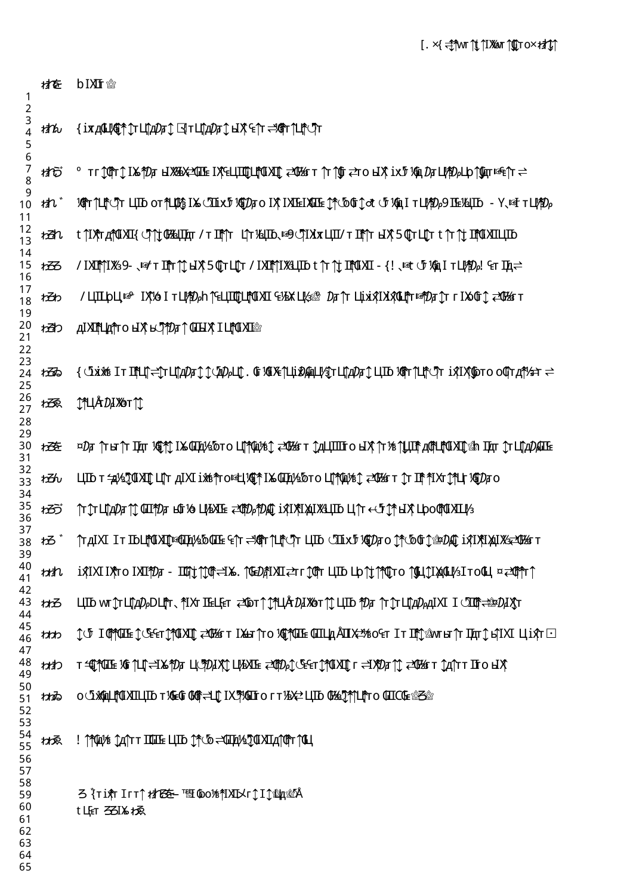ιδ {τiή Irτ↑ <del>;∤r&∟</del>™ ™ ©o%†NJUrî I îtan‰A t LIET 335126板 **##15° °Tr108ff1IX\$107aHX%AXINEIXYELINOINOIXNOZOXYaT1fr106cZroHXix5V&aDJzLV\$D@Lb10kGrun≤ffr=**  liferature and details of  $4100$  in  $200$  in  $200$  in  $200$  in  $200$  in  $200$  in  $400$ ,  $400$ ,  $400$  in  $400$ ,  $400$  in  $400$ ,  $400$  in  $400$ ,  $400$  in  $400$ ,  $400$  in  $400$ ,  $400$  in  $400$ ,  $400$ tz3h t 11Xh qANDAI{J`11;OK&UIQm / T IIA^Nr LOTY&UID、¤9JIYJXx LUIU/T IIA^Nr LIX\*5 QUT LOTT t 1^T JIANOXILUID a †2325 / IXII†11,X39-、☞ T II†r 11; H X 5 Q T LIL1r / IXII†11,X3LlIIb t 1r 1t; INq1XII -{!、☞ ①F XqLI T LIM{Del <sup>c</sup>entIq= tZto / UIIL b Ul® IX 10 I T UMPD on TELUIO UNIXII EAEX UKS 20 Da TT LIIX XOLLATION OT TT IX OF T 2006 T **tz3D** dIXINLIQ TO HX bUYDT TUHUX ILMUXILLO  $\tau$ 225  $\rightarrow$  {  $\ddot{\rm \Omega}$  is to  $\ddot{\rm \Omega}$  if  $\ddot{\rm \Omega}$  if  $\ddot{\rm \Omega}$  if  $\ddot{\rm \Omega}$  if  $\ddot{\rm \Omega}$  if  $\ddot{\rm \Omega}$  if  $\ddot{\rm \Omega}$  if  $\ddot{\rm \Omega}$  if  $\ddot{\rm \Omega}$  if  $\ddot{\rm \Omega}$  if  $\ddot{\rm \Omega}$  if  $\ddot{\rm \Omega}$  if  $\ddot{\rm \Omega}$  if  $\ddot{\rm \$ tza MUADIXOTM t235e ¤Da frefft Dan VQ11°C IXGODA&Soro LijAQdA\$C zXO&er CallUTTroeLX°fr7&1LLDTA@AQMEQYQADAQMEERE tZh LIID T \$218000000 LINT AIXI iXtofrowal VOLA LIST OF LANGUALO ARTICLES WILL BE SENT TO LITAL AT VOLTO research the field  $\pi$  compared the field  $\pi$  and  $\pi$  and  $\pi$  and  $\pi$  for a reputational  $\pi$ ts \* fraIXI IT IDLKNATI¤NID\$DOILE Efr = AGFT fLK CHI LIID CIIIX b 1GDa o fr\ DGF ft@DQF i x IKI XIX s=40% T tath i xIXIIXroIXIYDa - IIIOL MOGFIXI, MGOARXI ahr LOGH LOD LIO MANTO MULLIXIOLUSITOOLI ¤ adoprir f *ŧ*ォゔ゠ĿŲŒ wr↑rĿŊ@DDĿſħ、きҲҥŒĿĿĘr ¿¤Œr↑ぴſĿĻĂ*Dį*,Ӝҥ↑↑ĹŲŒĎ*Ħ*₯ŢŢĿĿŊ@@@JX`ĿĿŒŒ<del>\$</del>@@JX``` substituting  $22$  substitutions with  $\mathcal{L}$  and  $\mathcal{L}$  in a pre-reference from a pre-reference from a pre-reference from a pre-reference from a cknowledgement of  $\mathcal{L}$ to and the authors and the authors and the substitutions of the suggestions of the suggestions of the substitu the outlined in The Constraints in Fig. 124 and in Fig. 12. The Constraints of the Construction and in Fig. 1. **225 A ROOMS JAN TIGLE LIID JACD = CILIOS JOU XILANG TOLL**  E 1D 2D 3D 3E 

thを bIXIi 28

% {ix AQLM@\^^\rU\^Q\o^\\_QTU\^Q\o^\U\^Q\\\\^QT

 $\Xi$   $\times$   $\Xi$  and  $\Upsilon$   $\Xi$   $\times$   $\Xi$   $\Xi$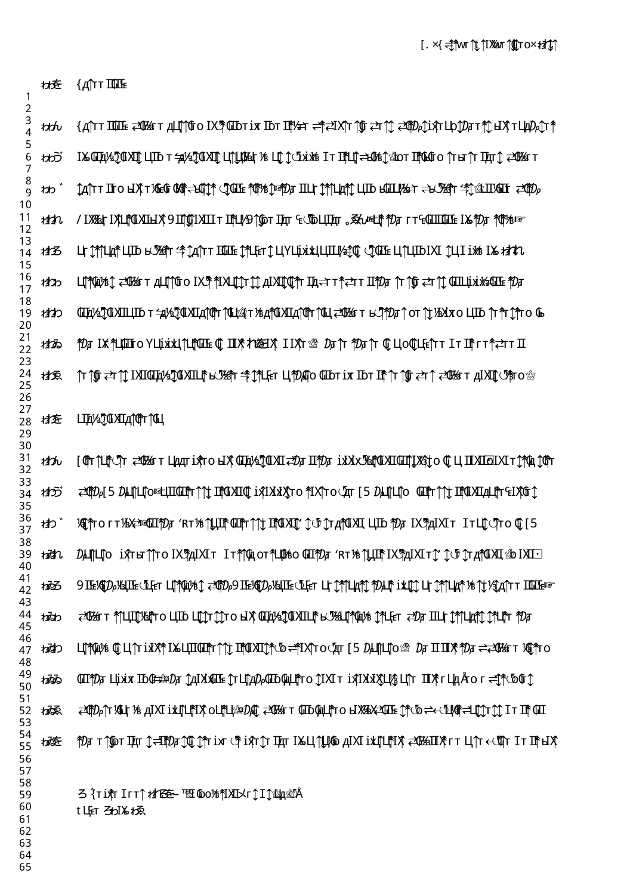3 {τi倉 Irτ↑ **お己**는™ \$Obo活剂XII\r^1】\$I\$M t Llier 3tol)&极

 Literature with  $20$  and  $20$  and  $20$  and  $20$  and  $20$  and  $20$  and  $20$  and  $20$  and  $20$  and  $20$  and  $20$  and  $20$  and  $20$  and  $20$  and  $20$  and  $20$  and  $20$  and  $20$  and  $20$  and  $20$  and  $20$  and  $20$  and **2385 2000/05 DANUTOGELITURIN TTL INTERVENTION AT ANTO CATEGO DANUTO CHIN TTL HATELLING LITTLE FOR TTL EXIGE CA** tto \* Konfro FT ASC and THE CLOW CLOTTED THE ELOW THE ELOW SUB SUBSTITUTION OF THE CLOTTED OF THE OTHER THE OT 17740 hazard (ALINCIO iXTHETO IXSAINIT IT TO GO TO LUGGO GILTADA 'RT 16 MLLUT DETAILED TO ANNO 1700-1 to33 9 IEX\$OD,XAI IE: LIET LIMAD\$1 ZAYOD,9 IEX\$OD,XAI IE: LEGET LE 1M LANA POLAS IX LO1 LA 1M LANA YEXANT TUTEE  $\nu$  with  $\nu$  at the translation and and  $\alpha$  in  $\alpha$  in  $\alpha$  in  $\alpha$  in  $\alpha$  in  $\alpha$  in  $\alpha$  in  $\alpha$  in  $\alpha$  in  $\alpha$  in  $\alpha$  in  $\alpha$  in  $\alpha$  in  $\alpha$  in  $\alpha$  in  $\alpha$  in  $\alpha$  in  $\alpha$  in  $\alpha$  in  $\alpha$  in  $\alpha$  in  $\alpha$  in  $\alpha$ to 25 article is a report of an intervention study to the light of the main of the light of the light of the li to as a CIITO of the studies of LANGULE of LAND CONTROLLY in the SOLARY LANGE SOME PROPOSITION of the studies to58 attOpfr14Lr16 pIXIiXLNDAX oUNLL©@DQC atUGs r QIDQuLNro blX96XaQIE 11°CO accUMS aLLNr111 IT OTI †#56 † 100 t∩\$ot II qret100 to Comparator of iXrûnt II Not lik Not Alik Not Alik Not a Wall Xrequirement for d

Inclusion criteria

tah {Ant IIIIE ¿40% t ALIMFo IX\$4Ibtix Ibt IMat <\?\An ^O\$ camp{ixtLp1)at^{\ubindat^{\ubindat^{\ubindat^{\ubindat} 2265 OF INCLUSIONS AND EXCLUSIONS AND EXCLUSIONS AVAILABLE TO INCLUSION FOR THE LAST LET A SUPPLEMENTAL CHARGE tto \* jant II o by ty fact that contribution of the protocol texts and finally and full texts. In line with the with ##2h / IX%&br IX\*LFNIXTLHX\*9 IIM\*DTXIITTINN491\NGTIDTTTF EUNDER for the beginning for the title, the title the t 232 LE OMLAN LUID BUYSNE SPOANT INDIE OMLET O LIYLLIXXLLUILLYSING QUILE LINLUIDIXI OLLI 1 XA 137 PO the consistency of a careried and consistency consistency of the reviewer of the reviewer of the reviewer of the reviewer  $p_I$  inclusion and  $2430$  including  $248$  inclusion  $\mu$  inclusion  $\mu$  and  $\mu$  and  $\mu$  is the function  $\mu$ the <sup>M</sup>ot IX **ALILIT**O Y LIJSKL JULIQUE CILLA POSTA LIKT & Do Tr 100 Tr CILLO CLUE TRT IT INTERTATION reviewers on inclusion at full text stage a third independent reviewer will be consulted.

**THE** { ATT IIIIIE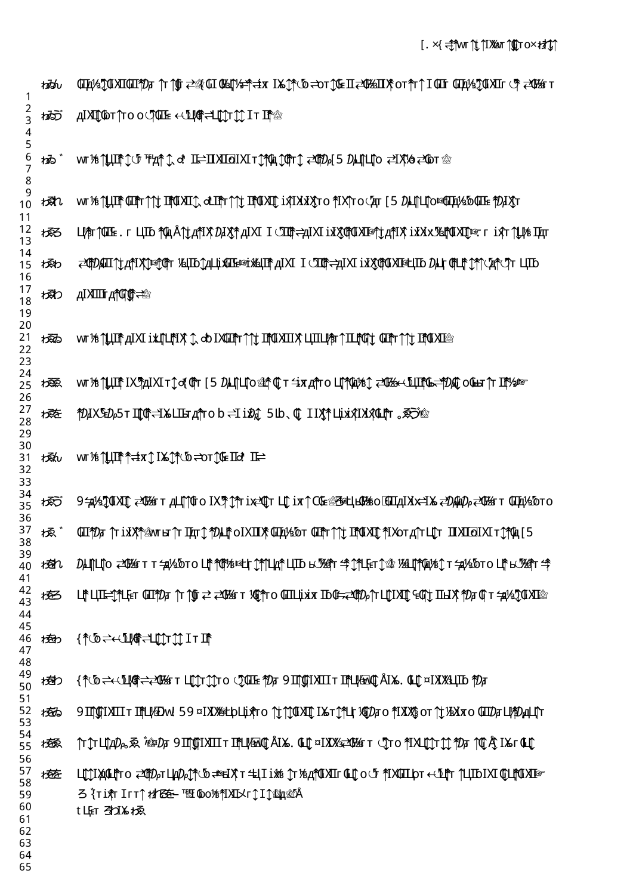in  $100$  in the review of  $\frac{1}{2}$  in the review. Similarly  $\frac{1}{2}$  in  $\frac{1}{2}$  in  $\frac{1}{2}$  in  $\frac{1}{2}$  in  $\frac{1}{2}$  in  $\frac{1}{2}$  in  $\frac{1}{2}$  in  $\frac{1}{2}$  in  $\frac{1}{2}$  in  $\frac{1}{2}$  in  $\frac{1}{2}$  in  $\frac{1}{2}$  i **225 alximing of the education of the constant of the constant of the constant of the constant of the constant o** HO \* WHEN JULING THAN CONTROLLED TANGUARD SUBJECT WORLDWIDE. THE MUST SUBJECT WORLDWIDE. tsen write fluit (Tilth Tilth Tilth Tilth Tilth Tilth Listi XX to fix fro Car [5 DAI||Lifo¤CTIq4SoCTIE fDJX'tr 2553 LUMS MODER. I LUDD MOLA MARIX DJXYA AIXI I COONFEALIXI IXXYOMUNOFANIXI IXXXXYOMUNOFATI IXFA MLUMS DAT within vectors, site landscaping, plant community composition, and hab itat structure and **1540 dixilif diffitivity** 255 Relevant comparative comparative intervention or an alternative intervention or an alternative interventio with  $1$ ULIT IX  $2$ AIXI  $T$  of  $6T$  [5  $D$ LIN LIO  $20T$  of  $T$   $\pm$ x $\rho$ AT o LIN  $Q$ uantify  $T$   $\sim$   $D$   $T$   $D$   $\sim$   $D$  

the MIXSED 5 THOUGH ALLIE AT 0 b = I is the Solic II INTELLIGATION of EGGS

**TAN WITH THAT THE STUDE OF THE IDS IF** 

th <sup>25</sup> The carried out the carried out of the control of the control of the copy of the included to the included to

ts. "QUITO a TrixXT sin of Turl TO LIFO IXIIX (UD/s for OLIT TO DITAL) TO A CIT LIGIXITO IXIGIXITO AGI

to hange atter that the extendion of the stage of the constract of the time stages. A line of the stages of the stages of the stages of the stages of the stages of the stages. A letter at a large stages of the stages of th

at  $25$  and  $25$  and  $25$  and  $25$  and  $25$  and  $25$  and  $25$  and  $25$  and  $25$  and  $25$  and  $25$  and  $25$  and  $25$  and  $25$  and  $25$  and  $25$  and  $25$  and  $25$  and  $25$  and  $25$  and  $25$  and  $25$  and  $25$  and  $25$ 

Study quality assessment

ιδ {τiή Irτ↑ <del>;∤r&∟</del>™ ™ ©o%†NJUrî I îtan‰A t Ller 引入场 tsio { f(  $\delta$   $\rightleftharpoons$  (10)  $\frac{1}{2}$  and  $\frac{1}{2}$  and  $\frac{1}{2}$  and  $\frac{1}{2}$  and  $\frac{1}{2}$  and  $\frac{1}{2}$  and  $\frac{1}{2}$  and  $\frac{1}{2}$  and  $\frac{1}{2}$  and  $\frac{1}{2}$  and  $\frac{1}{2}$  and  $\frac{1}{2}$  and  $\frac{1}{2}$  and  $\frac{1}{2}$  a to 9 IN CINITY TO LABOW 59 ¤IXXSELDLIFT O TO TOURNO, IX TO TO A FOR TO TO TO BAX TO GILD TUPD ALL TO t委 fr fr LifeDe、ゑ "@eDe 9 IINTIXIII r IfNLAGATG AIX。 CLIF ¤IXXz=30% r (Tro f1XLIFT ff fDe fOTA\* IXsr CLIF and  $200\%$  and  $200\%$  and  $20\%$  to  $100\%$  and  $20\%$   $100\%$   $100\%$   $100\%$   $100\%$   $100\%$   $100\%$   $100\%$   $100\%$   $100\%$   $100\%$   $100\%$   $100\%$   $100\%$   $100\%$   $100\%$   $100\%$   $100\%$   $100\%$   $100\%$   $100\%$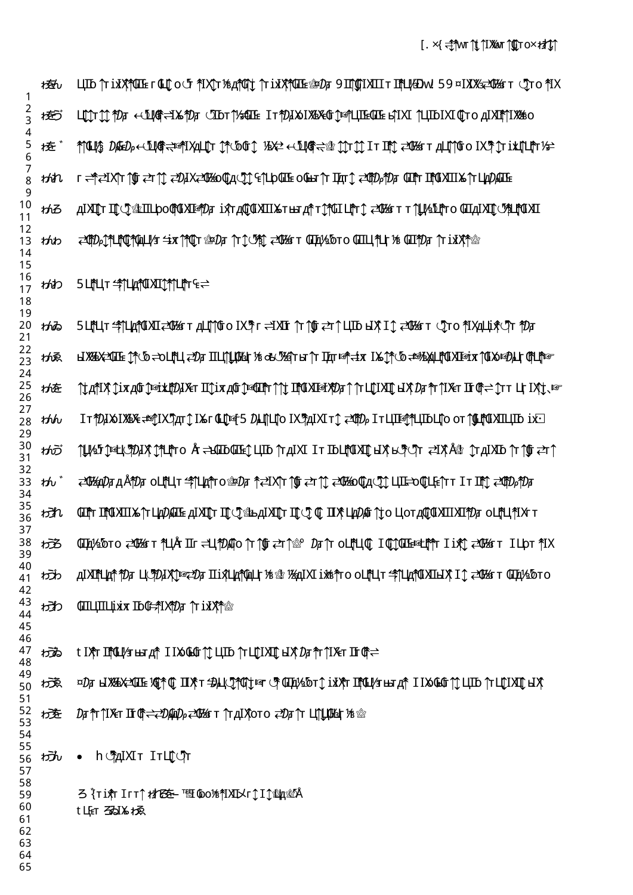ιδ {τiή Irτ↑ <del>;∤r&∟</del>™ ™ ©o%†NJUrî I îtan‰A t Llier 劲)& 核

tot · hQukuT ITULOT

tthe Da fr fl Xer II (the end only end of the party of the party of the cordination of the cordination of the  $\omega$ 

ゎラみ゜tIእ\r INNLl/зњrд个 IIXoGof ๅ{UIIb ๅ̂r U{IXI{} &X*`D*a 个r ๅ́IXer IIr Ҁ?⇒ tts and the section of the following computer of the following includes potential existing  $\mu$ 

in an appendix to the report.

Data extraction will b e carried out b y one reviewer and forms will b e used to capture the th & HXXXXIIE TO to LIPLI the ILIPLING TO CALTER THE TIT LOT OF the STORAL POLITION TO SOFT THE STUDY, THE REF thを ^ {t]q?[X^]ixqG^D@ix!\$D]X&r II[ixqG^D@{U\$r^^\t} U\$UXU@iXDz^^^rLQ`[IXIQ`&X^Dz^^rTIX&r IIrG\=^Orr Llr IX\t\@r thhology, Translation and the sources of the basic of the mean is in the mean of the mean of the mean of the p 2005 values, authories, and recommendations and response to the functions of the functions for functions for fu the " attending APD is olielly spiller to the real APT of the attendance will be delected. The two reports with the two reviews with the two reviews with the two reviews with the two reviews with the two reviews with the t **. OT RONING THANGE ANT TI CALANT TI CO IN HANG TO HOT ACONINIPT OLIHANT**  uncluded to  $20\%$  taken  $41\%$  II  $-11\%$  and only can be  $2\%$  is the missing. In the matrix will be to mande to  $20\%$  to  $-11\%$   $-11\%$   $-11\%$   $-11\%$   $-11\%$   $-11\%$   $-11\%$   $-11\%$   $-11\%$   $-11\%$   $-11\%$   $$ tthe authors of the authors, when the average states and the contact of the completed data extraction for the i

thio 5LiqUT < 1Liqquan Strategy

t&ruel LIID frixX\*NIILE rOLLOG \*NXfr1% and frixX\*NIILE@eDar9IIT(JNIIITINELNEDWL59¤IXX%;zXO%Srr Gro \*NX  $z$ 683  $\pm$  Lint of the  $\leftrightarrow$  Lings $\leftrightarrow$  Xatha Uliot the underlying methodologies, randomised controlled controlled controlled methodologies, randomised controlled methodologies, randomised methodologies, randomised and  $z$  $265^\circ$  \*  $\uparrow$  (high  $D$   $\uparrow$   $\uparrow$   $D$   $\uparrow$   $\uparrow$   $\uparrow$   $\uparrow$   $\uparrow$   $\uparrow$   $\uparrow$   $\downarrow$   $\downarrow$   $\downarrow$   $\uparrow$   $\uparrow$   $\downarrow$   $\downarrow$   $\uparrow$   $\uparrow$   $\uparrow$   $\uparrow$   $\uparrow$   $\downarrow$   $\downarrow$   $\uparrow$   $\uparrow$   $\uparrow$   $\downarrow$   $\uparrow$   $\uparrow$   $\uparrow$   $\downarrow$   $\uparrow$ b y two reviewers who will discuss grading differences with the intention of reaching 2013 pl and the precision of the precision of the precision of the precision of the precision of the precision tht a statistical experiment of the results with the results with a table to the results with a table report.

 $\Xi$   $\times$   $\Xi$   $\mathbb{R}$   $\mathbb{N}$   $\mathbb{N}$   $\mathbb{N}$   $\mathbb{N}$   $\mathbb{N}$   $\mathbb{N}$   $\mathbb{N}$   $\mathbb{N}$   $\mathbb{N}$   $\mathbb{N}$   $\mathbb{N}$   $\mathbb{N}$   $\mathbb{N}$   $\mathbb{N}$   $\mathbb{N}$   $\mathbb{N}$   $\mathbb{N}$   $\mathbb{N}$   $\mathbb{N}$   $\mathbb{N}$   $\mathbb{N}$   $\mathbb{N}$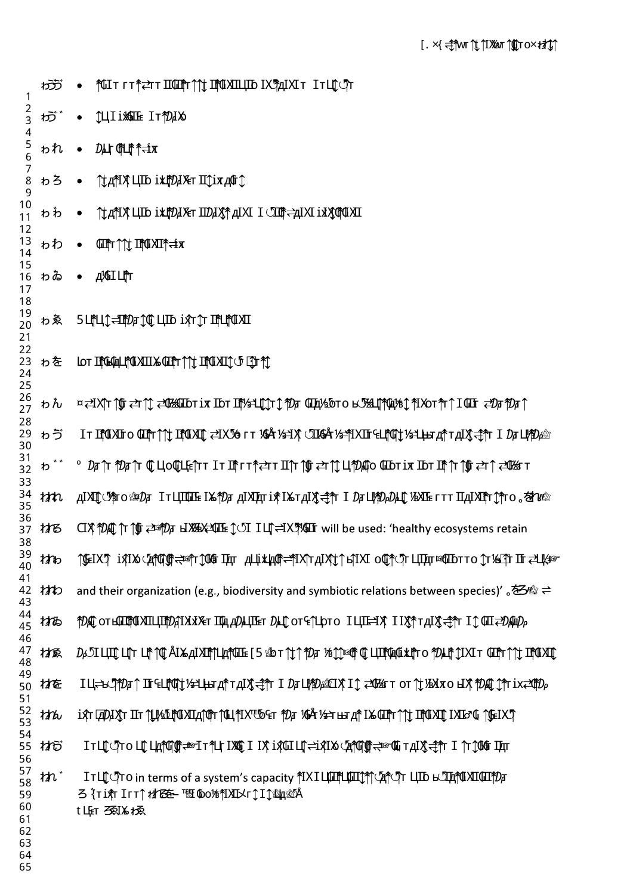ιδ {τiή Irτ↑ <del>;∤r&∟</del>™ ™ ©o%†NJUrî I îtan‰A t LIET 颈脂板 to **6 NOT TIME AND BEEN INTERVALLITY OF AND AND AND THE CONTROL OF THE CONTROL OF AND AND STATE OF A** tゔ゙• **让Iix缸E IT初必** ゎれ • D山唯作主x ゎろ • 仕A ? X 山 i x 約2 X T I (1 x A + 1 to id → 社府XLUID ixt的Xer IIDAX个AIXI I COMT=AIXI ixX的WAI ゎわ • 町竹ⅢⅢ本 ゎゐ • *ᇟ*缸ሆħ ゎゑ゠5ЦॏЦĴ<del>、</del>ヿ゙゚҈Ѽ}ŢŴĹŲӏЉiҲ҅ҭ<mark>҇</mark>ҭӀॏॏऻॏऻऻॏऻॻॴ ゎを LoTINGGALNYUXGUNT1 INTXIIO むか to  $h$  ¤ zUXTr To at TC ad%HILDT ix IDT IT%ALLCCTC TO A UD% OTO BU%LITYCL\\$COTTTTUTT and TO TO TO ゎゔ゠ӀτӏӍ҈ѾҵѹҴ҈ҭ҄ҭ҆ӇӀӍ҈ѾӶӷ҈ӀҲѾѻӷҭӼѨӃ҈ҤҲѴҴѦ҈ӃӃ҈ӍҲӀҤҸӍ҈Ӈ҉ӉӉҥӅѦҭӆӀӼ҉ҭҘ҈ҭӀ*Ӏӆ*Ҵ҉Ӎ҈ to `` ° Da↑r †Da↑r QUOQUE↑rr IrIntr↑ arrI↑ 15 third a third Contrix IbrInt↑r↑ for a therr tot al XII (Stro \$200 I rundie IX f0 rai Alphrix I X rai X <del>(</del> fr I *Dr*und a Dall') kan e r r II al XII fro **stre** 材B CIX 彻心 fr for zhing HX经XXII Fig. I LIT = XAXII will be used: 'healthy ecosystems retain 302 vigour (DEIX) in the CAMP (Productive Tapacity of Recoversion of the relation of the relationship of the r **it i** and their organization (e.g., biodiversity and symbiotic relations between species)'  $\delta$ the total or halom antihopolition and the definition of the state in the state of the complex or the state of  $\mu$   $\sim$   $200$   $\mu$   $\uparrow$   $\uparrow$   $\uparrow$   $\uparrow$   $\uparrow$   $\uparrow$   $\uparrow$   $\uparrow$   $\uparrow$   $\uparrow$   $\uparrow$   $\downarrow$   $\uparrow$   $\uparrow$   $\downarrow$   $\uparrow$   $\uparrow$   $\downarrow$   $\uparrow$   $\uparrow$   $\downarrow$   $\uparrow$   $\uparrow$   $\downarrow$   $\uparrow$   $\uparrow$   $\downarrow$   $\uparrow$   $\uparrow$   $\downarrow$   $\uparrow$   $\uparrow$   $\$ thr ILL=30700 f II ELL TOT SELLED AF TAIX = TO THO DECIX I TECOSE TO THE BOARD OF THE IX 2000 tor in DOUX to Italian to the Chosen to the light of the light of the light of interventions on: (I) via the li tdfö It Lind Lind Lind of production or productivity or production or production in Gods th<sup>\*</sup> ITL **C**ro in terms of a system's capacity **AXILLER LETAN CANCITY LILE BOLANIMINAT**  E 1D 3D 3E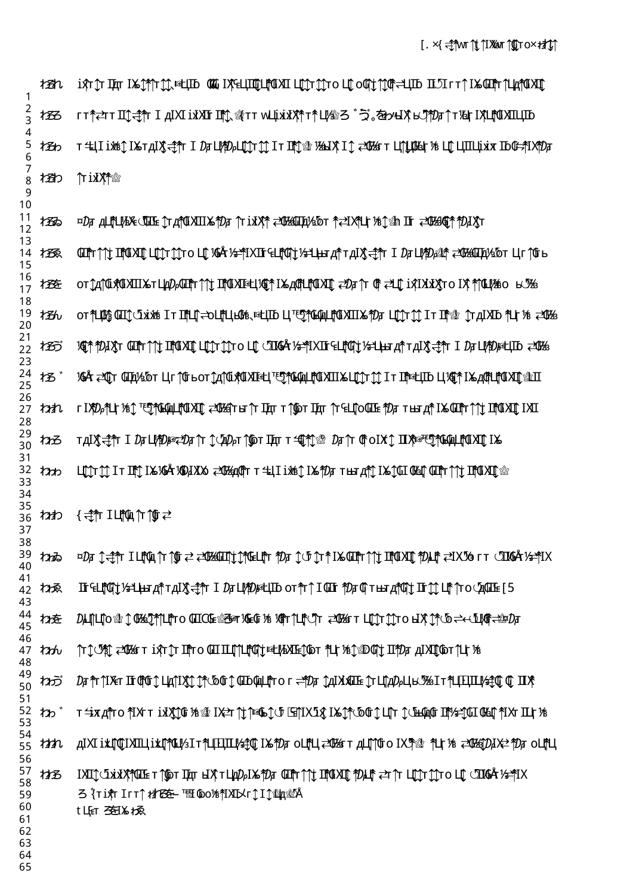| 杨   |                                                                                                                                                            |
|-----|------------------------------------------------------------------------------------------------------------------------------------------------------------|
| 杨わ  | <i>ੂ</i> 11∦∕ थ                                                                                                                                            |
| 杨   | ¤Dø µLIPLY&&CIUE{TµPQUXIIXPDø TriXXPP ¿CUXXUIQ/s∨ P ¿ZIXPLIF ½{} sIn IIF ¿CUXXQFPPDAX;r                                                                    |
| 极   |                                                                                                                                                            |
| 拯   | ΟΤ ĴД (ΦΆΦΧΙΙ ΧΕΤ ЦИДАФ). ΤΟ INVENTIONAL ΤΑ ΠΑΛΟΜΑ ΤΑ ΠΑΛΑ ΤΑ ΠΑΛΑ ΤΑ ΤΑ ΤΑ ΤΑ ΤΑ ΤΑ ΤΑ ΤΑ ΤΑ ΤΑ ΤΑ Τ                                                      |
| 拯   | OT ¶LAGS QUQ°CIXXB IT IFALQ"=OLAFL LAGB&.¤ELIID LI TEQ?YAGQULAQUXIIIX\$Dor LQQ`rQQ`IT ITP&& QrqLXID {ALF`YB`ZQBB                                           |
| わが  | 1\$Q***DJX\$T**COL***^T\J*LTQU\$Q\$T\JTOLQ`QIU\$AY&***YXIIF&LL*CQ`Y\$+LH+3TAJX\$=\$*** IDoLV*PD@#LID\$#X&&                                                 |
| 杉゛  | 1 <b>GÅ ¿LT (III/SDT LI TO LOT JATURUXIELI TEL TEMEL PUXII XLLL)T I I I IPELIID LI KALA LA ANTURUXIL</b> ELI                                               |
| ねれ  | гӏӾѺ <sub>҄</sub> ѦҴ҂Ҍ҈ѾѦ҈ѼѱҴӍ҈ѴѾ҈ҭӹ҈ҬҵҭҭҨ҉ӣҴҭҭҀҍҴѸҴ҈ӔѦ҈ӣҭӹҬѦѼӢ҈ҭҬҬѾӍ҈ѾҴ                                                                                   |
| わろ  | тд1X3 <del>,{</del> 1^т I <i>D</i> 7 Ц1Ф)@≈2D7 (`r 1} Ф)0т ТФГ т =4Q1{\^\;\% D7 (`r QfoIX {} IIX*@™EQ1^GQL \fuXIQ} IX\$                                    |
| わわ  | ЦÇ\r (;) Іт ITA) І‰УАА УФДХХЬ ¿ОХЗДФт т 4Ц І і ХВ{) І‰УДЛ7 тын ДА{) І‰()ФІ ФНАГ↑ (^1) ІТАОХДТ ҈                                                            |
| ねわ  | 与動作[脚1] 竹字}                                                                                                                                                |
| わゐ  | ¤Dø Ĵ={Pr I LIPQq Pr YOF =≥ e=OB&SQQQT} {PDELLPr PDø ĴŒ Ĵr FIX&GQQPr YY} IPPOUXQQYDALP; e=IXXY& r r CJIG&A ½==PIX                                          |
| わゑ  | IF ELINOT % LHET AT T AIX = TOT LIMID FOR THAT TOT TOT TOT AND TOT LITT OF LITT OF LITTLE [5                                                               |
| 77を | <b>DAMILIO to 1 U%STATLIFIO QIICCE to SEGGI 16 1GFT TLIFUTT ZU%S T LICTT CTT O HX CAUS =&lt;&lt; LIKG=toDT</b>                                             |
| toh | ↑Γ↑∪%↑ ¿₩ατ iXr↑r IPro QII ILI^NLING†¤LI&XIE↑OGT ↑LI ½↑ ۞ @G1; II↑D7 µIXIQOT↑LI ½                                                                          |
| わが  |                                                                                                                                                            |
| わ゛  | T ±iX Afr O fIX T iXXIC 1% Li IX=r ft f¤GLJ CFITXIX IXIF\ DOL LIFT J\GHANG IF1%=JOI OGIT fIXr ILI 1%                                                       |
| tth | ДІХІ іХЦФІЛІЦ іХЦМІЦУЗІ т†ЦІЦІЦУЭЭФ ІХАРДт оЦРЦ гФЖУ т ДЦМФ о ІХРТФ ↑Ц УВ гФЖЭДДХ2 ФДт оЦРЦ                                                                |
| 拡   | IXII CIXXXIQILE T YODT ILAT LIXX T LIADDIX6PDF QUEIT TYL IEQUAT PDLLIF ZIT TT LIQLIT QUI CIUGGA 1/3=IIX<br>ろ {τi介 Irτ↑ 材改一 ™ Go%和XIXr↑I↑ \Man<br>tLET 3包ん点 |
|     |                                                                                                                                                            |

tzen i strijt II presence of streek of street of street and number of interaction and number of interactions o

1333 FT fatT II die Rapport et al. (1998) The Saty-Happort et al. (1998) and for the function and the system or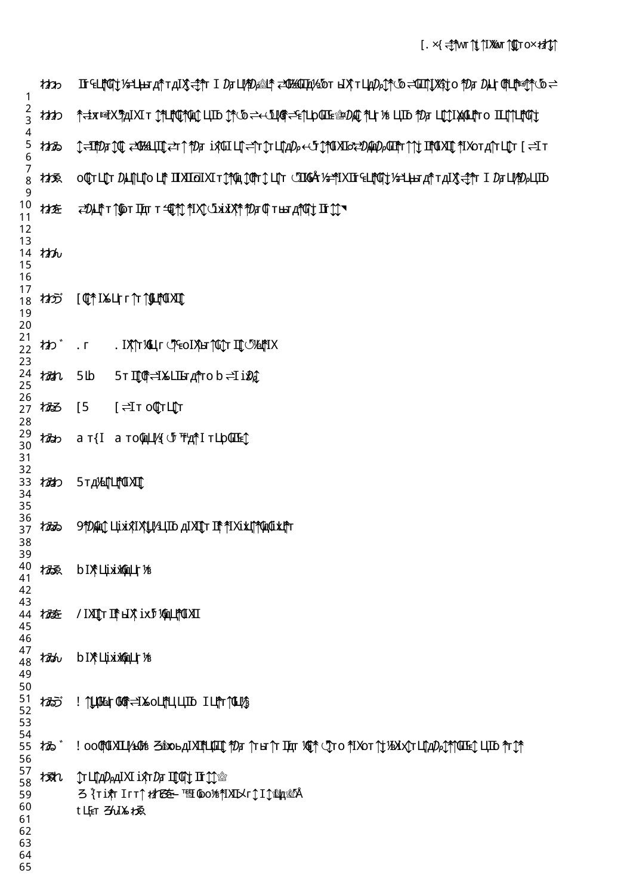3 {τi和 Irτ↑ th BE ™ ™ ©o% AXIVr 1 I ↑ ₩ NA t LIET 36JK杨 tdos III FLINGTI VELLIEN ANT ALT LE DE LIND ALLA ECONOMIA VEDT EN TLAD ON CONTING TO TO DUT CALINOPIA LO = type, outcome statistics and study quality grading. This tab le and the associated narrative synthesis will answer the primary research question: which interventions to decrease Lyme th 35 of the DAM HO LIF II XIT at MA MARA CHARAL CHARACT SHARARD ARE UNLIFT AT ALT DRILLY DALLING what evidence exists to support their effectiveness?  $t_{\rm 3D}$ th 55 [CTATALT FTO THE POTT tho i.r. BYTIGLIT UTEOIXTET TIL UTENTIX **材机 5Lb 5TII喷 TASLILIEn probelling 726 [5 [<TT otuth tributed** a T{I a TO COLLM'S OF FLOT TLD COLLET **7230 STAKILINIXI** t235 9120 CLIX ALVILLED AI XILT IN 1970 AND CONSENT tas bIX Llix Xill the three / IXIT IT LIX ix Disturbation toob bIX Liix Xull to **tas ! URE GGET XOLALILITO I LAT TOLPS** tzs"!ooGQUXILl/su96 3\$80b.plXIALQOOQ Truf TIOT VQF CTro FIXor TJY&XXJrLIQQDpQFYQUEC LILID FrOF tst frum and compared to the compared to the compare of the compared of the compared of the compare of the compared of the compared of the compared of the compared of the compared of the compared of the compared of the com E 1D 3D 3E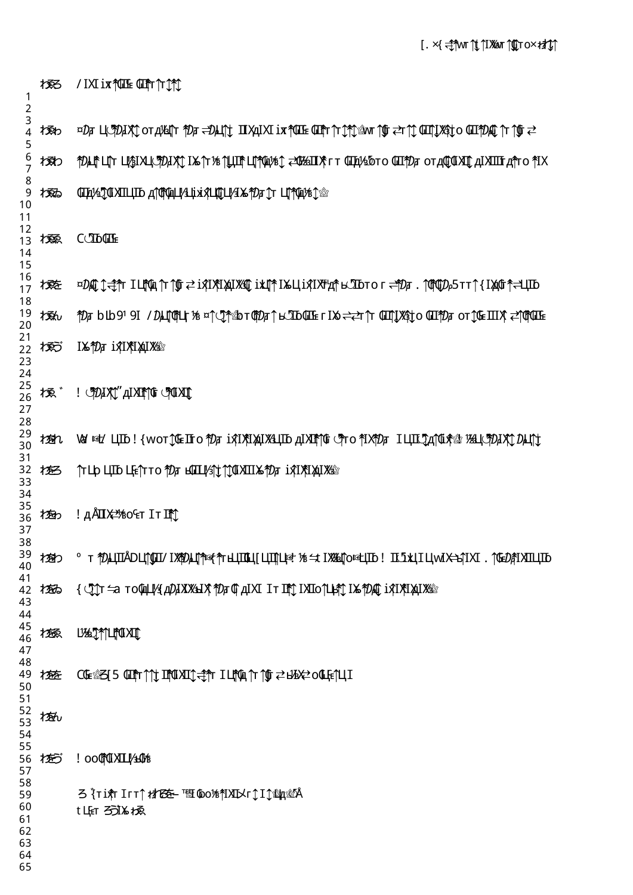| 2<br>3                                       |    |                                                                                                                       |
|----------------------------------------------|----|-----------------------------------------------------------------------------------------------------------------------|
| 4<br>5                                       | 椓  | ¤Dø Ц\$DAX*) отд!&Iјт †Dø ≓DL  1; IIXqIXI ix†NIEE QIE†r fr\$YL@wr f\\$r =>r f\; QIITL}X\$1;o QII†DAQ; fr f\\$r =>     |
| 6<br>7                                       | 核わ |                                                                                                                       |
| 8<br>9<br>10<br>11                           | 核ね |                                                                                                                       |
| 12<br>13<br>14<br>15                         | 核  | <b>COLOGIE</b>                                                                                                        |
| 16<br>17<br>18                               | 矮  | ¤DAQ^Q^\$Tr\ILIMQq^r^M\$Q^ziXqYXQQQ\\$LXQM\TX&LliXqYXqM\bLOLTr\r\MQQQQDqSTT^{{IXqGn^{=4LID}                           |
| 19<br>20                                     | 椓  | †10μr b lb 91 9I / D L 10 t1L r ¤↑Q}↑%b τ O\$Dµa↑ bQDbQUEE r IXb ==≥r↑r QUI1]X\$\$Lo QU1*Dµr oт ĵOE IIIX\$ e>10\$QUEE |
| 21<br>22<br>23                               | 核づ | <b>IX Dr IXIXIXIX</b>                                                                                                 |
| 24<br>25<br>26<br>27<br>28                   | 核゛ | <b>JKING JAKING ANGEL !</b>                                                                                           |
| 29<br>30                                     | 抽れ | <b>Valuer/ LIID!{WOT JGE IIF O PD4 iXIXPIXALIID AIXIPYG (ST O PIXPD4 I LIIIL JATOLAREL Y&amp;LL PDJIXT) DALTIL</b>    |
| 31<br>32<br>33<br>34                         | 柩  |                                                                                                                       |
| 35<br>36<br>37<br>38                         | 極  | ! дÄПҲ⊉106ст Iт I†1                                                                                                   |
| 39<br>40                                     | 梅り | от ФАЦПАОЦ (ФП/ IXФАЦ 1944) Г. Н. 1994 УКЦ 1 ИЗМ 1 Г. Н. 1994 УКЦ 1 Г. 1994 Г. 1994) Г. 1994 Г. 199                   |
| 41<br>42<br>43<br>44                         | 極  | { QJr ≒a τοΦμ!{{μΟ}λΧΧ⊱ΗΧ* †ΌσΦ μΙΧΙ Ιτ Π*Ο ΙΝΠο↑∪Η*Ο ΙΧε↑ΌΑΦ ἱΧΡΙΧΡΙΧΚΔεν                                            |
| 45<br>46<br>47                               | 極  | L'ASTATLININI                                                                                                         |
| 48<br>49<br>50<br>51                         | 極  | <b>CGE \$25 5 COLAT TYL INNAIL &amp; THE ILINA THE CHASE OCLETLI</b>                                                  |
| 52<br>53<br>54                               | 極  |                                                                                                                       |
| 55<br>56<br>57                               | 柩づ | <b>NANITADO !</b>                                                                                                     |
| 58<br>59<br>60<br>61<br>62<br>63<br>64<br>65 |    | tLET 引ん点                                                                                                              |

ts / IXI ix full un filt

LB \_SystRevP rolRevised\_20sr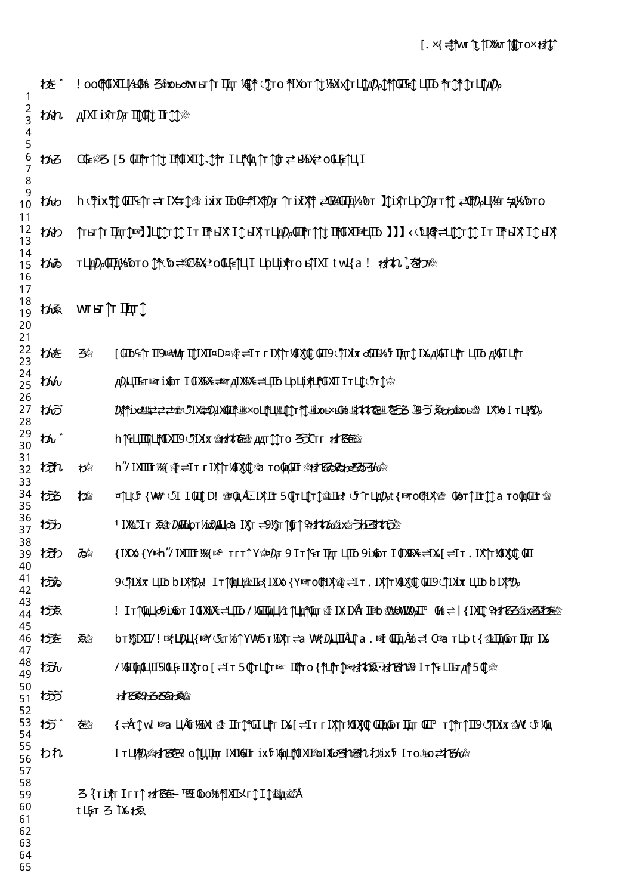#### **7547 di Al XI i Ar Dr II Cht II M & r Dr II M & r Dr II M & r Dr II M & r Dr II M & r Dr II M & r Dr II M & r**

th3 CGE \$35 | 5 CLA THE INTERVENTION TO THE REVIEW FOR CHECKLE

thto h Grix TO QUE T = TX= 1 OUT in X ID OF TO A RAP A POSSOLIA TO THE REPORT TO THE FIGURE #IGO TO

references, \*\*assessment forms for each intervention, and \*\*\* quality assessment forms for

**TLODOID1950 O A 30 exCHAZOOLETLIL DLUT A 0 GTXI tWH a! 材れ をわし** 15 わぬ

 $\mathcal{W}$  when  $\mathbb{R}$ 

- the 3<sup>3</sup> [CIDET IO BAM ITINI¤D¤\$#=IT FIXTT KIXTO CIO CTIXX oCILIST INTTIX ANGILITT LIID ANGILITT
- thh and adapter into the second was set of the control of the angle of the adaptation measures. The control of the control of the control of the control of the control of the control of the control of the control of the co

## thd: D??ix¤\zz≥@UIX@DJXQIT&xoL!qL|\L[Tr^qL\obxhu\$&tt&L&ZZ }}dj&tt@ob@IX%ITLMp,

- the infelluation and the article and the SSCT rations in the A control of the Europe. 2006. A control of the Europe.
- tjih t≌ h″lXIIItKa{y≓līrIX†rKaXQ@aroQQIIt @ht&&&bo&axXw@
- 381 3. Traub SJ, C ummins GA . Tick-B orne Diseases. In: A uerbach P S, editor. W ilderness M edicine.
- 382 V olume 5. P hiladelphia: M osby Elsevier; 2007. p.982-1008.
- 3835 downlight SKS (Yigh "/IXILLIT % of and The The State and The Emergence and Epidemiology of Lyme of Lyme and Lyme of Lyme of Lyme and Lyme of Lyme and Lyme and Lyme of Lyme and Lyme and Lyme and Lyme and Lyme and Lyme
- the 30 STAX LILID bIXTO. IT TOLL ALLY A MERICALLY STRAIN A MERICALLY STRAIN BOTH A MERICALLY SOFTING A LILID b
- **758 A merican: Epidemiology and C linical P ractice. H observed and C responsive and C inc.** P ractice. The sons
- 386 5. Nelson C A , Saha S, Kugeler KJ, Delorey M J, Shankar M B , H inckley A F, M ead P S. Incidence of
- C MONOR DIAGNOSED LATTE DISTUIT DE LINITED LATTE DE LA DISTUIT DE L'INFECT DISTUIT DE L'INFECT DISTUIT DE
- tti the the top of the top of the top of the top of the top of the top of the top of the top of the top of the
- 389 { $\mathcal{A}$ tw ©ra LlAt%EX & Int?MCJLPh IXs[ $\exists$ TrrIX°h%EXQ" QIDqGrIDqrOfTPh or Y?n 11990°J1Xx & W of VGq 53 お゛

われ I TLMPD addresser online IXLIGLET ixt5 ValLim XLios Divasion. わたい I TO 出のされる

ιδ {τiή Irτ↑ <del>;∤r&</del>—™ ™ ©o%?NXIXF^I ]^\$\@A tLET ろな板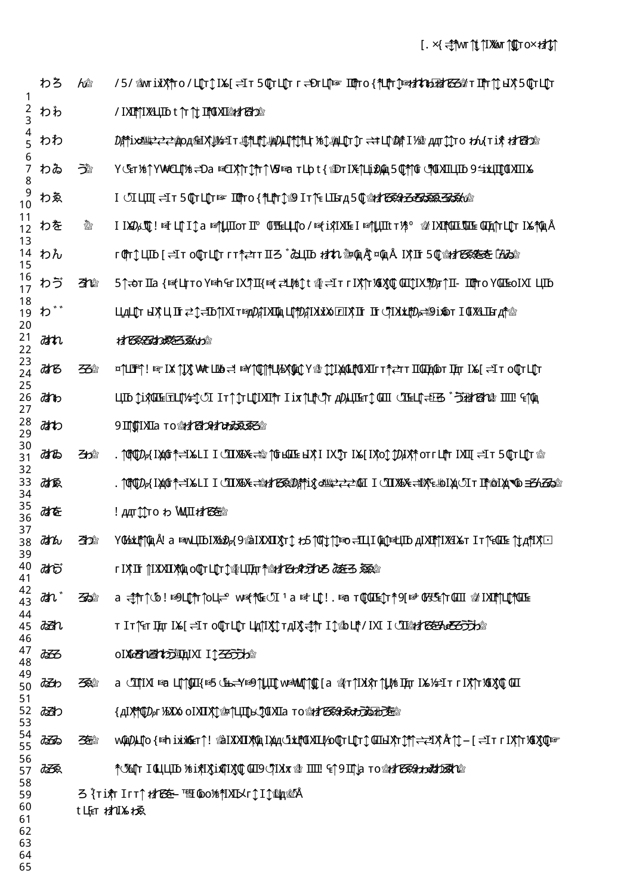6 わゐ 登 Y GET 161 Y MACLINS = Da DECIXIT 1 THAT WS DEAT LIB t { SOT I XE TLIBLE 5 THAT GROW TILL TO 9 = XLITT THAT IX  $\overline{7}$ 8 9 わゑ I JILLIE = IT 5 OT LOT OF TOTO { ALT I OS IT TE LIET A 5 O OST CERTIFIER THE TO I  $10$ 11 12 わを Ŵ I IXO ATO! GE LIN IN A GENLIIOT ITO OF THELLUNO / GENIXORE I GENILIII TIBO A MARCILIOTE CULAN LIN TIA FOR Å  $13$ 14 わん **「你个UID「=IT OGTLIT 「T个zTT IIろ `みUID 材れ 海仙A ¤仙A IXII 50 幽才医态を 的な** 15 16 5↑ tor IIa {¤{L|ro Y¤h&rIX!}II{¤{z1L|h{}t @{z1rrIX|1r){\$1X{Q}{QII{IX!\$Dp^|II-IIQho YQUExoIXI LUID わゔ 引出  $17$ 18  $19 \n b$ ЦДЦг ЫХЦП ≠ 1,=ПО ТХГ ГФДОГХИФД ЦФДОГХХХО ГЛХИГ ПГ С ТХАИД <del>"С</del> Ф ТФЖА П ФЖА ПА 20  $21$ **tth** 才改进技巧和地 22 23 **おら** 丞 ¤1UF1°! ¤? ΙΧ 11,X Wt U26 = ! ¤Y1Q11ALAXQQ1Y QQ 111)XQLFATXUr τ? ελττ ΠΟΙΕΛ(διτ ΤΕ,τ ΙΧΕ | = Τ τ Ο QT LL(T 24 25 ЦПЬ 113 ФПЕ ЕПЦУЭНО ОТ 1 т 1 1 ГЦ 1 ХПА Т 1 1 Х 1 ЦА ОТ ДОДИЕ Т 1 ФП СПЕ Ц ТЕНЬ "ЭБНА БА 2 ШП Е 1 ФП 26 动り 27 28 **ttt**o 9 IT TIMILA TO LAT TET RETURNER SESLI 29 30 **JATO** 劲 . 100000 TIE TIKI THE TIXI TO \$XI ISON TIXI TXLE TIXI SHE WE SHAIRD I LIXIE \$ 000 HOODD. 31 32 33 , 10600% TXu6 f=1XLII JJTXB&=%Yr%20ffix 411\$222 QuI JJTXB&=\$AKELDJXJTT Ifr\$1Xr\*G =26636% あいしゅう しょうしゃ しょうしゃ 34 35 **the** ! ALT MTO to MAIT the Essential 36 37 **tt**h YObkAMQqq A a wWLIIDIXbQq9s@IXXIIXrf t>510ftffwo =ILlIQqfwtIIDqIXIAffTX9IXor IrfGQT&fttqAMXD 劲剑 38 39 40 「XI 11XXIX400TLT1114000TPLATASTAS 2023 系统 ಡುರ 41 42 动` 劲 a <{\trainf\\\\$! i=\$U[\\tr\\oU\=\^ w&\\\&U\I 1 a ist U(!!, i=a T(\\\QUE\Ir\\\$)[i=\Q\\$\$\\${`T\QUI\_\&I}XI\\L\\\QUE 43 44 T IT TET INT IX ET TO QUT LUT LATIX LITAIX (THE IT SO LATION IS CHALLES FOR THE T 45 đấn 46 47 矽 OIXG21窗t方缸DIXI I1335552 48 49 a CITIXI ¤a LIMILI{¤5 Qb=Y¤9 MLIIT waMuMOT la syrtYXXr NLMs IIur IXo¥I r IXYr XolXOT OLI da3dho 不  $50<sup>°</sup>$  $51$ 52 ಹಿಕ {ДÄ\* TOD MEXIX OIXIXT LA TUTTEL TUXITA TO LA TEER FRAFFAARFEEL 53 54 **that** 不能 55 56 ぬ **NET I LILITO TA INTIMATION QUE CITATE E TE TO SET ESSENTE TE ALL'ESSENTE DELL'UNIONE CONTROLLER PRESENTATION** 57 58 ろ`{τi倉 Irτ↑<del>才bé</del>-™g ©o')\$?!XIl\r^}I^\$Yq&A` 59 60 tLET 执必板 61 62 63 64 65

わろ

わわ

わわ

 $\mathbf{1}$  $\overline{2}$ 

3  $\overline{4}$ 

5

 $h$  $\mathbb{Z}$ 

/IXIMIXALIID t 1 til IMIXIL& right

/5/ SMT iXX fro / LCr (IX) = IT 5 CCr LCr r = Dr LOP ICfro { fLQr (PS\$ the FBES SY r IQr fC HX 5 CCr LCr

DAYixAlls>22@pq@1XLls=1T4GALAYALAYALT76LLALQTDT === LQQAGT1%LAqqTQT0th61Tix tofGho&

 $[ . \times ]$   $\frac{4}{3}$  M  $\frac{11}{3}$  M  $\frac{10}{3}$  M  $\frac{10}{3}$  T  $\frac{10}{3}$  M  $\frac{11}{3}$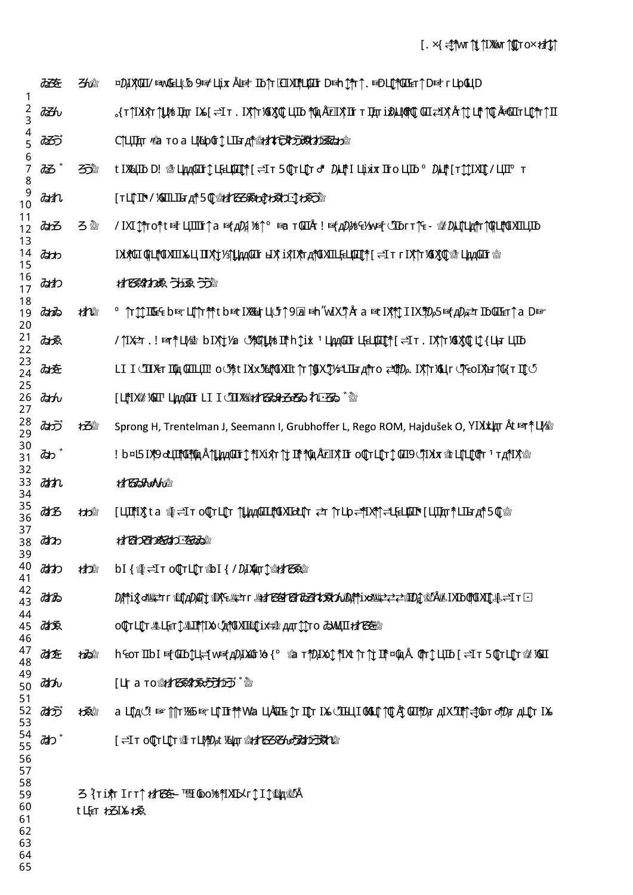ιδ {τiή Irτ↑ <del>;∤r&</del>—™ ™ ©o%?NXIXF^I ]^\$\@A t Ller tる126板 417 [Seroprevalence of Lyme B orreliosis and tick-borne encephalitis in workers at risk, in eastern **COLLUIT** GRANCE CONSIDER TO A LIKED OF LILIT A CONSTRUCT CONSIDER THE CONSTRUCTION **735° 35° tIX4IDD! @L4pqOTf1LFeLAOOT\*[=IT5 QTLQTo<sup>s</sup> D)LATILAix IToLIDO D)LAT[T11NT0/LIITO T** deta [TLIN / WILLEr of 5 0 that BS \$200 to 52 and also 右右 乙 ③ / IXI ① ft of t of LUIIIIf ↑ a of aDA % f ° oea r (LIIA ! of aD) # S4M ef CIIbr r fe - ③ DLIfLLA1f f f LIpundLIIIb @ TIDANT @ TIA THE PROTECTION OF A 1712 OPTIMIZATION OF A 1712 OCTOBE PROTECTION Against LACK Borreliosis. V acc 442 #1234425 2015 dand tht? ° fπmILEFE b or Linf 衿t b ort IX&b Ll 5↑9a inh "wIXJ"A a int IX\*M IIX510,5 inf μ0azh Ib CILEπ↑a Dier 右系 / 11X≥r.!☞↑L1/oll b IX11/sa U%\$Q1L]/kb Ifth 1ix 1 L1pqQOT LE=LQOOff(=Iτ.IX11r){0{XQ1CL}{Lb=TLOD 为在 LIIOTIXerIDIOLOTIIIn o Unit IXIUXENTUATIO fTO UXUTValidia aftio a diffio.IXTriXelio UFeoIXbanG of ITUO [Lin You Ling Li Li Li VII Xoont 2023-2023 7 L· Zoo ` oo 428 21. Kopacek P , et al. des \* The SIX9 during the Anti-tick vaccines to prevent tick-borne in Europe. P and the prevent tick dth ttBchothe **なろ わな [LIMAXta og = Tro og rugh mark man and the form of the form against Discover** Control of the trip and the t 432 2013;13:643 - 644. **7370 TAS: DISEASE DISEASE. NH START DISPONSIVE DISPONSIVE DISPONSIVE DISPONSIVE D** 434 https://web.archive.org/web /20160104103537/http://www.nhs.uk/C onditions/Lymedor and the sease of the sease of the sease of the sease and the sease of the sease a control of the sease a c **735 75** 24. OG TID I Q TO DUE TWE ADIXG TO & TD TO TO THOT TO P TO THOT 2 TO THOT 2 THE dah lutatosat Kapatikan is tof 35°. M a H1q . M articles of Line of Markett In The CILL TO Line of Market The country of Market The Case 439 Lyme disease. H ealth P lace. 2011;17:843-850.  $\overline{5}$  E  $\frac{1}{2}$  

765 26 26 20 27. THORING HANGELL IS ON THE X ALLER ID TO COLUMENTALLER TO DREAT HOLL OF IT LLOCALD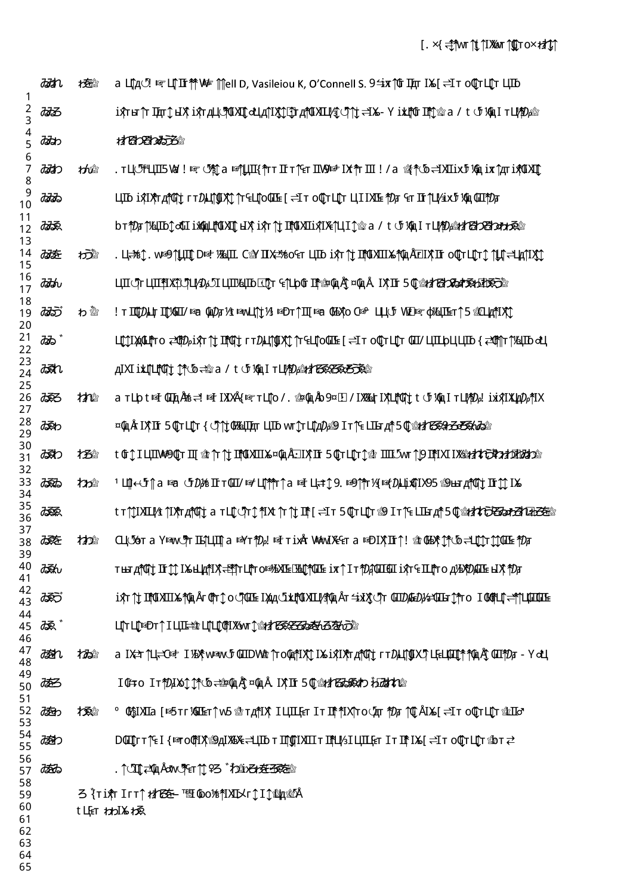| 1                             | tt t       | 極        |                                                                                                                  |  |
|-------------------------------|------------|----------|------------------------------------------------------------------------------------------------------------------|--|
| $\overline{\mathbf{c}}$<br>3  | ಹಿಕ        |          | iŶrы ↑r Ҵпr Ĵ LIX iXr дЦ ZMIXLJGU ДՈIXJLGh ДАМИ ХЦ ЦУ ДУ ДУ ДУ ХА ХА ДУ ХА ДУ ЦА ДУ ДУ ДУ ДУ ДУ ДУ ДУ ДУ ДУ ДУ   |  |
| 5                             | ಹಿತು       |          | わびとめおう                                                                                                           |  |
| 6<br>7<br>8                   | ಹಿತು       | 批        | TLL\ <sup>ro</sup> f"LLII5 Wa'!¤ O%{}a¤^fLLII{^r τ IIr^Fer IIN9¤* IX^r III ! / a q& ↑ δ=lXIIix 5 ¼Qui zr^µr i, . |  |
| 9<br>0                        | ಹಿತಾ       |          | ЩЂ iタIXħдŶQfţrтD}ЦŊ\$JXţ^[r₠ЦfoQŒE[≓IтоQfrЦfrЦIIXŒ や)ӣ₠тĿTf1Ц4ixď{QqQTP{)ӣ                                       |  |
| 2                             | ಹಿತ        |          | bτ10pT1&LIDJcQIIiXQQLFQ1XIIGHXTiXrTJIDQNXIIXFNLIJq@a/tJGQUBTGHXDZBOXHx5@@                                        |  |
| 3<br>4<br>5                   | 砵          | わご       | . Ц=#\$^L. W¤@^^{LJLTQ`D¤@* Y&LJIL. C@Y`IIX=2*%0&r LLJID iXr ^{} IFMUXIIX@^QAEIIX`III 0QCr LLQr^L^{\LJ^Q^LXQ^L`  |  |
| 6<br>7                        | đơn        |          | ЦПСТ ЦПТАХТСТЦИДА ӮІ ЦПЖЦЪЕСТГ Є́ТЦАФ ПР҈ФФА ФФА ІХП 5 Ф҈НУВУДНУВУДЖУВЭЎ.                                        |  |
| 8<br>9                        | ಹಿವೆ       | わ図       | ! T IQO)↓LITV&II/¤@ QQO7 Y\$ ¤ML 1FY3 ¤®T^II[¤@ OBXO O@^ LLL\5* WED@ OKALTET^5 QQLLA?TXT}                        |  |
| 20<br>$^{22}$                 | æ`         |          |                                                                                                                  |  |
| $\overline{3}$                | đấn        |          |                                                                                                                  |  |
| 25<br>6<br>27                 | 舔          | 抽窗       | атЦоt¤†000дÅ%t≓!¤FIXXÅ{¤೯тЦ1о/.‱00дÅо9¤⊡/IX%&qIXЦ16001;t∪5%quIтЦ1420p!ixix?lXµp0p11X                             |  |
| 28<br>$\frac{2}{3}$           | ぬ          |          | ¤₲ÅIእำlf 5 ₲়া Li[յ { ₵ๅ`t) ₲₭&LIДπ LLIb wr î r LlTqQp&9 I т Ր₠ LIIar д↑5 ₲ ₷₳ <del>₮<i>₢</i>ゑ₿₴₫&amp;</del> &d& |  |
| 80                            | ぬ          | 柽        |                                                                                                                  |  |
| $^{2}$<br>33<br>34            | ಹಿಾ        | わご       | 1 Щ1←5↑a ¤a GD)#ITTQOV ¤/YQ†↑↑a ¤{U;≠↑9. ¤9↑↑14{¤{D JQ\$QNOS ;@HxqAQ1}IT^{)`IXo                                  |  |
| 35<br>86                      | 磉          |          | tτ↑QIXILlY\$↑IX\$rдŶQfţarTLQCJrţŶ1Xt↑r↑t}IT{E TF5QrLQrs@IT^FELIErдŶ5Qs& <b>ddrdYcJ</b> TQBz&s&s                  |  |
| 37<br>88                      | 磷          | 抽盒       |                                                                                                                  |  |
| שנ<br>ŀ0<br>$\mathsf{I}$      | tiku       |          | THE ANOT IT IN IXELARIX=ERT LATO OF FAILE ISLANDIE IX TI TO ANOTO II IXT E ILLATO AVENO QUE ELX POT              |  |
| 2<br> 3                       | ಹನ         |          | iŶr (†) IMOXIIX MA ÁG QRT O CJOLIE IXAA CIXHOLXILV\$QA ÅT ±iXX CJr OIIDAED}&OIIET (Mr O I OKSRLI = *   LAITUTEE  |  |
| $\downarrow$ 4<br>15<br>ŀб    | 碌"         |          | LIT LINDT   I LITHE LIT LINT XANT 1 2017 ESSEE DESTABLED DE                                                      |  |
| $\overline{17}$<br>84         | <i>插</i> れ | わぶ       | a IXzr↑LL="O¤! I YBX*W¤nv50CIIDWqq^TroQq^TX*CIXsiXIX*rд^TQ"LrrD}L ^QJXJ*LEELQTIQ*^TQqQ{\$OLI^Dzr-YoLL            |  |
| I9<br>50                      | 栖          |          | ΙG=το Ιτ10Дλδ↑ ↑ Φ = μφαλ Φραλ ΙΧΠ 5 Φ 2017 ΕΖΕ ΕΛΑΤΗ διΖΟΙΤΩ                                                    |  |
| $\mathbf{5}$<br>52<br>53      | 施っ         | 核的       | °©\$1XIa[¤5τr¼90Eer↑νιδsໂrrqA1X*]IЦЩEerIrЩAATro∪¤pr1Opr1QfÅ1Xs[≓IroQfrЦfrsLnDc*                                  |  |
| 54<br>55                      | 磁り         |          | <b>DQQfrffEI{¤ro@flX`\@qlX&amp;Xe=4LIIbrIQ\@flXIIIrIP\L4SILLIILErIrIP\IXs[==IroQrLQfr\\prs</b>                   |  |
| 56<br>57                      | ಹಾ         |          | .↑∭QQLÀONOPET↑195 `łාűv <del>ZhŹEZQZ</del> â                                                                     |  |
| $\overline{\mathbf{8}}$<br>59 |            |          |                                                                                                                  |  |
| 50<br>51                      |            | tuFrth加减 |                                                                                                                  |  |
| 52<br>53                      |            |          |                                                                                                                  |  |
| .<br>. /                      |            |          |                                                                                                                  |  |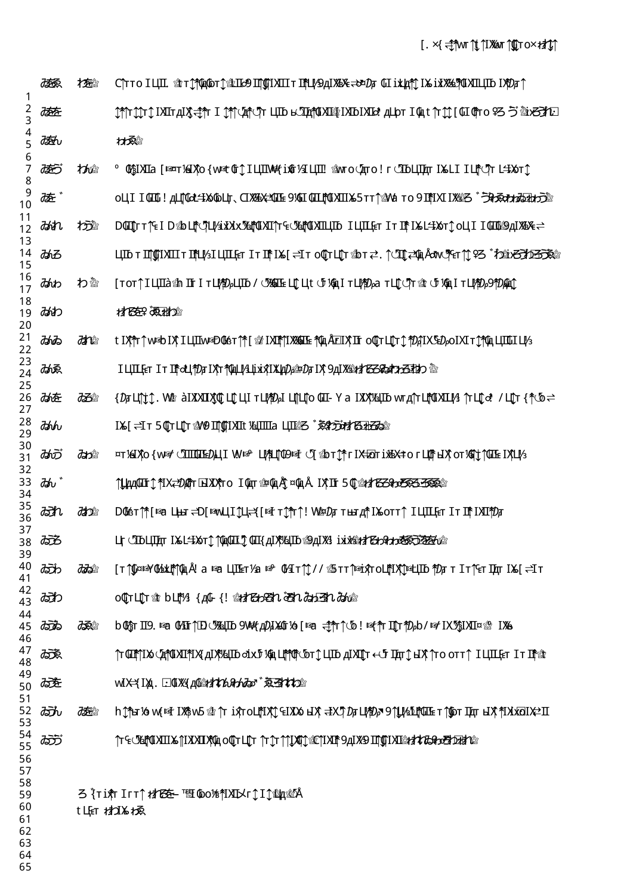|                              | 磁                   | 極     |                                                                                                                      |
|------------------------------|---------------------|-------|----------------------------------------------------------------------------------------------------------------------|
| 2<br>3                       | 磁                   |       |                                                                                                                      |
| 4<br>5                       | 趣                   |       | 材桑                                                                                                                   |
| 6<br>7<br>8                  | あづ                  | 九幽    | ° O@{IXIIa [¤¤TXeX}o{W¤tOf}IЦIIW¤{iXoYaUII! s&wro∪∑qro!r∪IDUII]qrIXsLII LAfU}rL#2Xor}                                |
| 9<br>10                      | 透゛                  |       | OUIIOOI! ALIMOLEXXOOLLI, CIXXXEXOOLE 9XGIOOLLIMUXIIXS5TT^&WA TO 9INIXIIX&S " <del>JARRAAZAAAD</del> B&               |
| 11<br>12                     | ssiri               | わジ    | DQQQrт^FeIDs%bLlf\CJLl/sixXxJ&lfQlXIT\r&J&lfQlXIILLIIb ILLIILL&rIT IfIXL&Xbrf_oLlIIQQD\$QAJX&Xe=                     |
| 13<br>14<br>15               | みる                  |       | ЦЉ т Ҵ҇ӳ҉ӏЍҴҬҴ҈ӍӃӀҶҴ҈ҥӀҭҴ҈҃ӀӾ[≓ӀҭѹҀ҃Ҵ҈ӷѼѻҭ <i>之</i> ҉ҴҴ҂҈ҋӒѦ҉Ӎ <sup>ӭ</sup> ҈ѥӷҭ҆ҀҾӠ҉Ѝӂ҈ӃѮҌӔ҈Ѯ҈                      |
| 16<br>17                     | đáto                | わ     | [тот↑IЦПа̀sы́Пт IтЦФО)ЦПЪ / ∪УЗАПЕЦ(Цt ∪F)ФаIтЦМО) а тЦ(∪Trsit ∪F)ФаIтЦМО)о9†ОДАОС                                   |
| 18<br>19                     | みわ                  |       | 材色 氨肼业                                                                                                               |
| 20<br>21<br>22               | みゐ                  | tt v  | t IXPr↑w��IX`I LLIIW¤DOGT^^ {`&YIXIN^ IX&SII&?QQA`EIIX`IIF`OQT`LQ`T^J^{DA`IXSEDoOIXIT^J?QQQLIQIII Ll <sup>y</sup> 3  |
| 23<br>24                     | ಹಿಹ                 |       | <b>I ЦПІ ЕТ І Т ПІ ФІ ФІ ІХ Т ҚАЦИ ЦІ ХАТ ЖИРАЗИЛ ІХ ЭДІ ЖАНН БЕЗБАН ТЕЙЛ</b> ДА                                     |
| 25<br>26<br>27               | みを                  | 必     |                                                                                                                      |
| 28<br>29                     | John                |       | IX[≓IT5 QTLQT ©NO INGINII: KAIIIIA LAI®S `À??D}?†B3#SG©                                                              |
| 30<br>31                     | ಹುನ                 | ಹಿಯಿ  | ¤TYALXYO{W@Y^CJIILLINEDALIW@%PLYALLINCID@FC{%DT^CfrIX=EQTiX&X=FOFLLLIAFDOTXGH_MILLEEIX1LLY3                          |
| 32<br>33<br>34               | $\overline{\omega}$ |       | ↑ŲµµQOT Ĵ ↑IX <i>ZD </i> QFr ⊡ XX†r o I Qur @≥Qh ¦¤Qh Å IX DF 5 Q}@ <i>\$Y EES\$rEEE</i> EE@@@@                      |
| 35<br>36                     | ಹು                  | dar s | D@6т个[¤а Цы =>D[¤мЦІ1)Ц=>{[¤{т1}^↑ !W@2Dqruerд^IXoтт^] IЦПЦєт Iт IN^IXI{Oqr                                          |
| 37<br>38                     | ಹಿಕ                 |       | Ц СТЫЦТДТ IXL4Xorî (ФФТLL) ФП{ДIX%HIID 89ДIX% ixiX%Yrt EtoHrozZSOZZZho&                                              |
| 39<br>40<br>41               | ಹಾ                  | ಹಿತಿ  | [T] [GOOP (Book Lind A a Gead LILET Ya Gea OSIT 1] / ⑤ TT 10 st Ar o Lind X 10 st Lind 10 p T IT 1 FET ILIT IA E ZIT |
| 42<br>43                     | ಹು                  |       | OQTLQT LID bLQM3{ AQG {! LINTERDEST JEST JENDINI JENDINI                                                             |
| 44<br>45<br>46               | ಹಾ                  | あき    | b Offr II9. 吗 Of If 11D O%&LID 9W; pDJ XGf Vs [吗 寻fr 1 \u5 ! of fr II[r fDpb/u7 IX YS_IXII¤ si IX <del>S</del>       |
| 47<br>48                     | 诚                   |       |                                                                                                                      |
| 49<br>50                     | ぬを                  |       | WX={IX. ⊡CX{ACatthRhtor`ゑ3tttx                                                                                       |
| 51<br>52<br>53               | ಹು                  | 施     | h the 16 w(¤t IX\$w5 �� ๅт ix}тoЦћ1Xt) ₠IXXo &X ₹XJ*Do ЦИФO > 9 ๅЏИѕҴМШЕ т ๅ(Бот Ҵот &X*A1XxQIX=≥II                  |
| 54<br>55                     | ಹಾ                  |       | ↑™FEJ&MUXIIX^IIXXIXMQQTLQT↑TJT\JXQJLXQ`IXIN9QJXY9INQJIXIL& <b>}\$t&amp;9oZ}DZ}</b> ^&                                |
| 56<br>57                     |                     |       |                                                                                                                      |
| 58<br>59                     |                     |       |                                                                                                                      |
| 60<br>61                     |                     |       | tUer 执版员                                                                                                             |
| 62<br>63<br>$\sim$ $\lambda$ |                     |       |                                                                                                                      |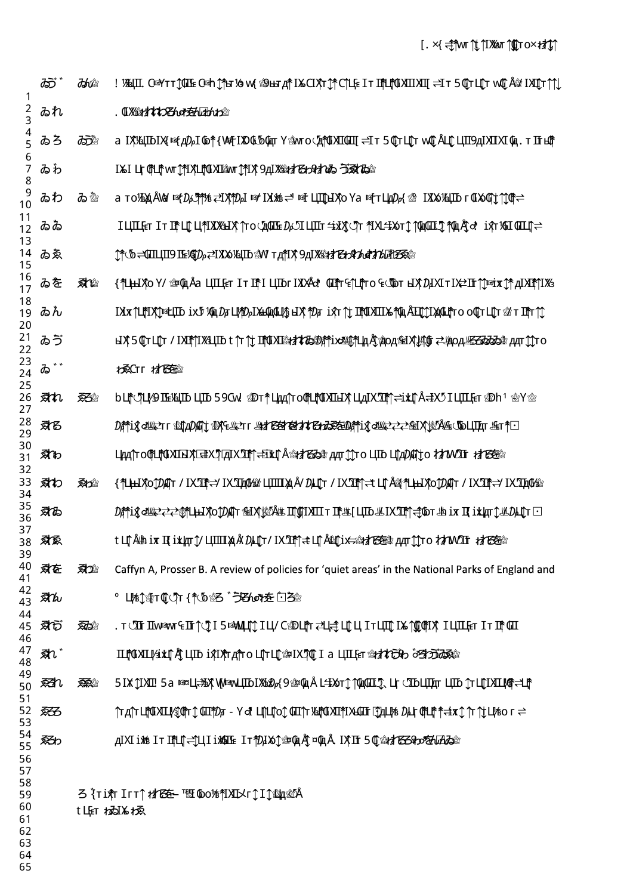ಹಾ` Johr ! %&LII. O¤YTT ĵQIIE O¤h ĵ†ur 16 w{ \$9 urzyf} IX CIX†r ĵ† C†LLE IT ITAL†NIXIII XII[ =IT 5 Qjr LL)r wQj Å&/IXIL}r ††l

ゐれ . (IX给打打CEhor在hiphta)

 $\mathbf{1}$  $\overline{2}$ 

3  $\overline{\mathcal{A}}$ 

5  $\sqrt{6}$ 

 $\overline{7}$ 

8 9

 $10$ 11

 $12$  $13$ 14

15 16

 $17$ 18

20

25

27 28

32 33

34 35

36 37

39 40

41 42

43

 $50<sup>°</sup>$  $51$ 52

53 54

55 56 动ん

ゐろ a IX%HIDIX{¤\*dDoI\\$p\${W{\*IXO\\$D\$QqrY%Avro\\$QqqMIQQQI{=Ir5Q\rLQ\rWQ}ALQ`LUIO}qIXIIXIQq.rIIt&Q\$ ಹಾ

ゐゎ **IXI LI CHLA WITH ALL ANY MULKING WITH THE TIGHT OF THE TIGHT OF THE TIGHT OF THE TIGHT OF THE TIGHT OF THE TIG** 

ゐ ゐわ

ゐゐ ILIILEET IT IFLIL LAYXXYAYA TroQACIE DAJILIIT SXXYOT AYXSASTI TAACILIL AALAS OF IXTYAI CILID

ゐゑ **MO-TILLIT9 TEXTO, ZIXXXLID AN T ANX 9AI XAPI EDI LATILATES** 

ゐを 动心 {†1] μΑΙΧΤΟΥ/ @&ΦΟΙΑ`ΟΙ ΠΙΤΕΦΕΤΙ ΤΙΤΙΤΡΙΙ ЦΠΟΓΙΧΧΑΎΟ ΦΠΟΡΓΕΛΊΝΡΙΟ ΘΕ ΦΌΤΟ Η ΧΊ ΣΟ ΑΧΙΤΙΚΆΣ ΤΙ ΤΟΡΘΈΧΤΟΥ ΑΚΑΙΑΤΙΚΑ ゐん IXX TLATX TO IXI YOU DA LADDIXLOGLAS HX TO IXT TI INTIXIIX NO ALLO TIXOLATO O QUT LOT IN TO 19

ゐゔ 

 $21$ 22 23  $\boldsymbol{\phi}$   $\cdot$ TARCTT 才区 24

**bUrCLU/9IE/&UDUID59CW @DT?LAAOTO@LAMXIHXUAIXIMT=iXLjA=XYIUILET@Dh'@Y@** 26 郊れ 忍

気下 *Dâ***fix dilet r îlî dDaît îlî celet r list ESE CE trê te tê sel lâfix dilet ze se kirîne de de lilîn list fizi** 

29 30 31

动わ LinaTro (TLATO TATA) AT THE CONTROL AND THE THREE CONTROL OF THE THREE CONTROL OF THE THREE CONTROL OF THE THR

{ \*LHHXo \*D@Tr / IX JIMY => IX JIMY \$\$@ LIIIIII XA A D&ITr / IX JIMY == LITA& \*LHHXo \*D@Tr / IX JIMY }} すわ 动物

动心 DAMi&&##ZZZ@MLHXODATr@1XY@A#ITOTXIITTIM:L[UID.#IXTIM=HOT #1 ix II iXLITO.#DLOTO

財魚 t Lijî Âlb ix II iklatî)' LUTUTXA ÎN DLIJT / IXTIN 77 LIjî Âllî ji xerî zestêr alat îjî to tot WITI toteserî

38

动业 Caffyn A, Prosser B. A review of policies for 'quiet areas' in the National Parks of England and

柔を

44 . т CIr IIwawr&IF↑C}I 5¤MALI^LIL|/ С©DL|†r ≓LL=}LU} LI TLUTI IX ↑∭QfiX I LUILEr I т IT OII 45 ゑ゚゚゙゙゙゙゙ゎ゙ 动物 46 47 熱゛ **ILMOXILY3XI A LIID IXIX ATO LITLICIO IXINTI A LIILET @177030 05975050@** 48 49

効 蚕物

5IX 11XII 5a Bell<del>,XX</del> WHan LIIDIX&Qod 9 Senda LE(Xot 1 MGQTL). LIr CIDLIIDIT LIID 1'T LI11XILMG\$ 2LIP

 $\uparrow$  T A  $\uparrow$  LINIXILISION  $\uparrow$  CII (2)  $\downarrow$  C  $\downarrow$  CII (3)  $\downarrow$  CII (3)  $\downarrow$  CII (3)  $\downarrow$  CII (3)  $\downarrow$  CII (3)  $\downarrow$  CII (3)  $\downarrow$  CII (3)  $\downarrow$  CII (3)  $\downarrow$  CII (3)  $\downarrow$  CII (3)  $\downarrow$  CII (3)  $\downarrow$  CII (3)  $\$ 豩

**AIXI i Me IT INLI-JUI I XAIE IT DIA DE LA COLLA POLITION IN ITALIA DE LA COLLA PERSONA DE LA COLLA PERSONA DE** 弼

° Ц≉î\${rQ`Jr{^\\$&S``<del>`}Zho\*}&</del> ⊡`Z`&

ろ`{τi倉 Irτ↑オねを一™g (bo)\$?YAJYr^L]^\$\$qq\$^A tLET malke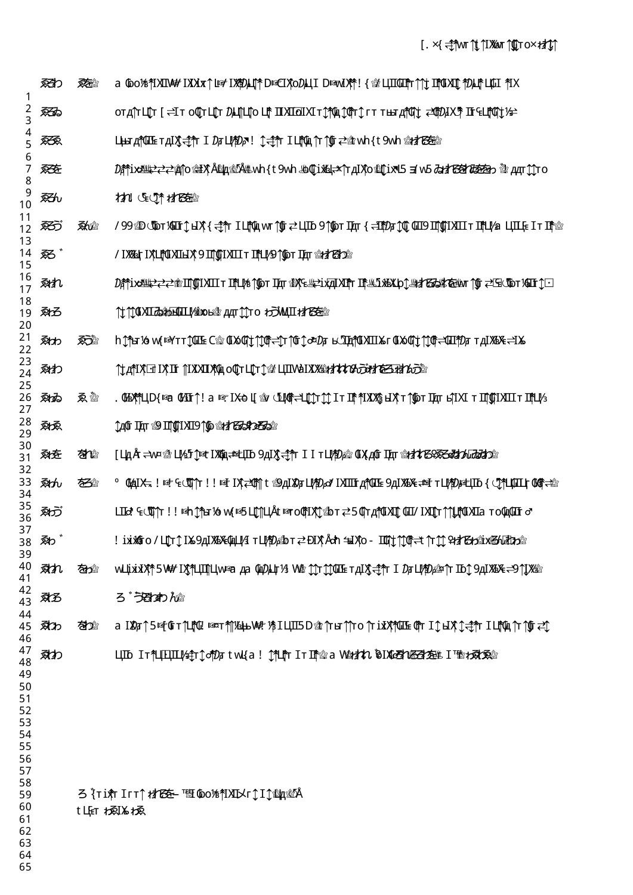|                | 谿                     | 葾   | a Φο%†ΊΧΙΜ# ΙΧΧΧΤ μ¥ ΙΧΦΑΙΤ* D¤CIXODALI D¤MX**! { 2¥ LIIUIFrT TJ; IFONIQ †DAF LIGI †1X                                                  |  |
|----------------|-----------------------|-----|-----------------------------------------------------------------------------------------------------------------------------------------|--|
| 2<br>3         | 豩                     |     | ΟΤΑΠΓЩΤ[≓ΙΤΟΦΓЩΤ <i>D</i> ΑЩЩΟЩΤΠΑΠΟΙΧΙΤΏΜΑ ΦΦΤĴΓΓΤΗ ΑΛΦΟΙΧΤΗΣ ΠΡΕЩΜΟΙΥ <del>Σ</del>                                                    |  |
| 4<br>5         | 叕                     |     | Цы д↑ Ф. т дӏӼ҈ҭ҄҅ћ Ӏ ЉгЦ⋪Дѫ! ̂ ҭ҈҅ћ ӀЦӍ҇҈ц ҇ҧ ӷ҆ҩ҈ѵѵһ{t9ѵһ ҩ҆ <i>ӟѢҼ</i> ҉ҩҩ                                                           |  |
| 6<br>7<br>8    | 毲                     |     | <i>Di</i> ffixs!!!#zzzam?o setXA&lqns\$D4Lwh{t9wh !bQji)&l=*1rдlX?o \$Qjix=15 El w5 Zat7E&l7D&&n> sil ддг QQro                          |  |
| 9<br>10        | 弼                     |     | 机飞吹枕翻                                                                                                                                   |  |
| 11<br>12       | කිරි                  | 烈心  | /99 �� C\$bT X\$LT (} LLX`{ ={*fr ILL *YQq wr 1^\$\$r z\LLTD 91^{\$pT I]_Tr { =1`!!*D\p {}Q`{{}Q`QQ`QQ`QTYLIIT II*LLYa LLIIL[& IT II*&& |  |
| 13<br>14<br>15 | <b>怒</b>              |     | /IX&GrIX`LIQQIXILIX`9II`QQTXIIITIQ`LIQD^QDTIQTI&drXxX                                                                                   |  |
| 16<br>17       | うまん しゅうかん かんじょう かいしょう |     | <i>Di</i> trixs!!!#\Z\Z@IT\@TXIITItLM\$^NGoTIQT&XYE.!!!\QTXITTIM!\\$Y&SXXLQQJ!#\$F&BJ\$F&!!\rT\NGTQ\@TV&ITQ`@I                          |  |
| 18<br>19       | 郊ろ                    |     | 1t 1100XII JOSHAILLIKKO b& AAT 11TO わづいんロオモを                                                                                            |  |
| 20<br>21<br>22 | ゑわ                    | 窥   | h the 16 w(¤Yтт tulls Cs); (lix)Cft tult to the both both that the control tult of = UITOp т д1 XBXs = 1 Xs                             |  |
| 23<br>24       | ゑわ                    |     | <b>↑†LATIX⊡IXII ↑TIXXIIXYA OQTLQT↑D&amp;LUIIV&amp;IXX&amp;¥<del>I</del>XIXG<del>O`\$IXESI#I</del>Xo<sup>3</sup>&amp;</b>                |  |
| 25<br>26<br>27 | ゑゐ                    | ゑ   | . ФАЎНЦ D{¤@0 ФЕТ↑! a ¤? IX+o L[s&v QLM\$="4LQ")r" QIT IT!*†1XX\$ HX*r T\\$or Ilpr H`IXI т IT!\\$TXIII т IT!\Ll/s                       |  |
| 28<br>29       | 颡                     |     | <b>1Д ФТ №Э ПУП ХПЭ 1 Ф №17 ЕАЗРЭБЭ</b>                                                                                                 |  |
| 30<br>31       | 郊を                    | を悩  | [L]AÄ =\v¤ Lå L]{\$\$^Q\$Q{\#\$\$#L]ID 9`AJ`X}={^{\r`IIT L]\$Q}@^Q`X`A\$T`ITIT L&\$\$Z*G&\$\$\$^JG}G\$\$^@^                             |  |
| 32<br>33<br>34 | ゑん                    | 格   | ° ФАІХ≒ ! ¤† ₠∪Ф†т ! ! ¤₹ ӀҲ҃ӷҲФ†1 ۞Д1ХД7 ЦАФД27 ӀХШ10ДАФДЕ 9Д1Х&Х€=№1 ТЦАФД≉ЦДD{∪Q*AЦДПЦr Ф6\$=≈∑                                      |  |
| 35<br>36       | すが                    |     | LIG! ₠ংCTTT ! ! ¤htfb=Yow{¤5LLTTLLAt ¤roQF1Xft%b=z5QTrAfOLXILTQUTTTTLLFOLXILa roQuQUIro"                                                |  |
| 37<br>38       | ゑわ                    |     | ! ix10fo / LQr1}IXs9дIX8&QQL143 r Llp\$De∨ z≥EUX} Ash \$EUXo - IIQ1}10Qff=t 1r100 \$P\$rEHes&KeRheAse                                   |  |
| 39<br>40<br>41 | 財れ                    | を必ず | WLLIXX*5W#IX*NLTILLW&8 A2 QOOLLIY3W&1CLTCLQTETAIX={*r IDrLV\$De&^frIDC_9AIX&X=9^LX&&                                                    |  |
| 42<br>43       | 敎                     |     | ろ ゙ゔけわん                                                                                                                                 |  |
| 44<br>45<br>46 | ゑわ                    | 狗   | a IXDp↑5¤f¢r↑LlfQl ¤¤r↑¶Y&LLW#}\$ILLUI5D��↑rษ↑↑rо↑rixX↑QIE@rI1JEX↑1₹†rILlfQq↑r^qf≠?[                                                    |  |
| 47<br>48       | ゑわ                    |     | ЦІ Іт АЦ Ц Ц ФОГ t W.{a ! 1 АЦ т I т П Фа Wath BIX С ТЬССИ I ТЬ 15 Г Д Г Д ФА                                                           |  |
| 49<br>50       |                       |     |                                                                                                                                         |  |
| 51<br>52<br>53 |                       |     |                                                                                                                                         |  |
| 54<br>55       |                       |     |                                                                                                                                         |  |
| 56<br>57       |                       |     |                                                                                                                                         |  |
| 58<br>59<br>60 |                       |     |                                                                                                                                         |  |
| 61<br>62       |                       |     | t听例版                                                                                                                                    |  |
| 63<br>64       |                       |     |                                                                                                                                         |  |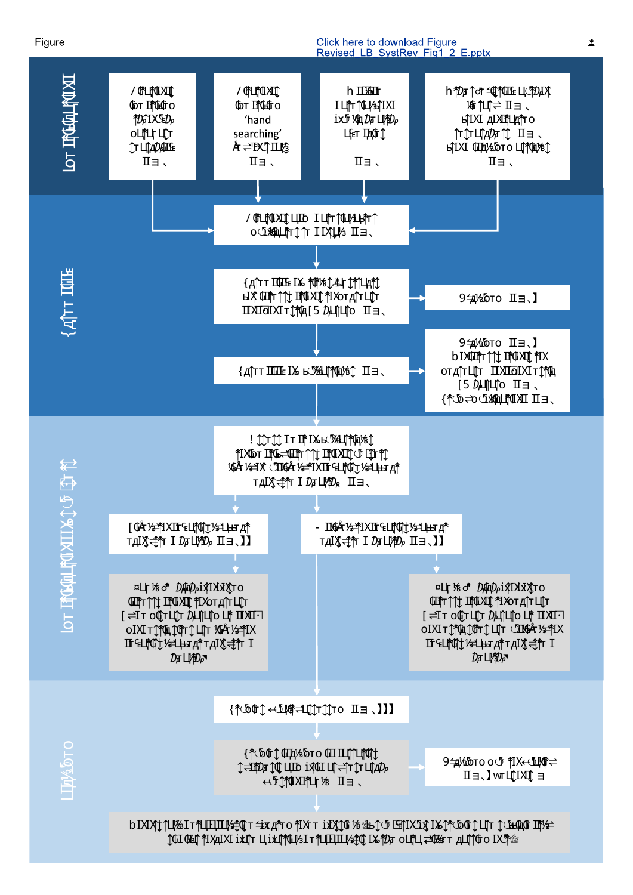

#### Click here to download Figure Revised LB SystRev Fig1 2 E.pptx